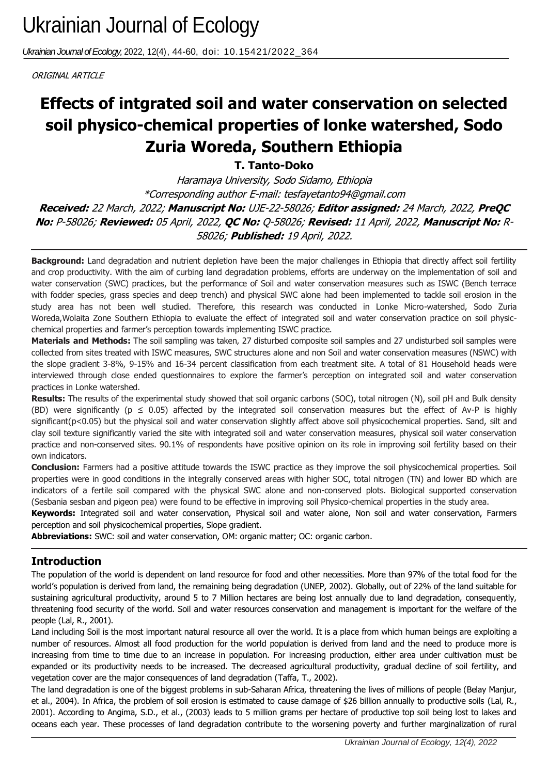*Ukrainian Journal of Ecology,* 2022, 12(4), 44-60, doi: 10.15421/2022\_364

ORIGINAL ARTICLE

# soil physico-chemical properties of lonke watershed, Sodo **Effects of intgrated soil and water conservation on selected Zuria Woreda, Southern Ethiopia**

**T. Tanto-Doko**

Haramaya University, Sodo Sidamo, Ethiopia \*Corresponding author E-mail: tesfayetanto94@gmail.com **Received:** 22 March, 2022; **Manuscript No:** UJE-22-58026; **Editor assigned:** 24 March, 2022, **PreQC No:** P-58026; **Reviewed:** 05 April, 2022, **QC No:** Q-58026; **Revised:** 11 April, 2022, **Manuscript No:** R-58026; **Published:** 19 April, 2022.

**Background:** Land degradation and nutrient depletion have been the major challenges in Ethiopia that directly affect soil fertility and crop productivity. With the aim of curbing land degradation problems, efforts are underway on the implementation of soil and water conservation (SWC) practices, but the performance of Soil and water conservation measures such as ISWC (Bench terrace with fodder species, grass species and deep trench) and physical SWC alone had been implemented to tackle soil erosion in the study area has not been well studied. Therefore, this research was conducted in Lonke Micro-watershed, Sodo Zuria Woreda,Wolaita Zone Southern Ethiopia to evaluate the effect of integrated soil and water conservation practice on soil physicchemical properties and farmer's perception towards implementing ISWC practice.

**Materials and Methods:** The soil sampling was taken, 27 disturbed composite soil samples and 27 undisturbed soil samples were collected from sites treated with ISWC measures, SWC structures alone and non Soil and water conservation measures (NSWC) with the slope gradient 3-8%, 9-15% and 16-34 percent classification from each treatment site. A total of 81 Household heads were interviewed through close ended questionnaires to explore the farmer's perception on integrated soil and water conservation practices in Lonke watershed.

**Results:** The results of the experimental study showed that soil organic carbons (SOC), total nitrogen (N), soil pH and Bulk density (BD) were significantly ( $p \le 0.05$ ) affected by the integrated soil conservation measures but the effect of Av-P is highly significant(p<0.05) but the physical soil and water conservation slightly affect above soil physicochemical properties. Sand, silt and clay soil texture significantly varied the site with integrated soil and water conservation measures, physical soil water conservation practice and non-conserved sites. 90.1% of respondents have positive opinion on its role in improving soil fertility based on their own indicators.

**Conclusion:** Farmers had a positive attitude towards the ISWC practice as they improve the soil physicochemical properties. Soil properties were in good conditions in the integrally conserved areas with higher SOC, total nitrogen (TN) and lower BD which are indicators of a fertile soil compared with the physical SWC alone and non-conserved plots. Biological supported conservation (Sesbania sesban and pigeon pea) were found to be effective in improving soil Physico-chemical properties in the study area.

**Keywords:** Integrated soil and water conservation, Physical soil and water alone, Non soil and water conservation, Farmers perception and soil physicochemical properties, Slope gradient.

**Abbreviations:** SWC: soil and water conservation, OM: organic matter; OC: organic carbon.

# **Introduction**

The population of the world is dependent on land resource for food and other necessities. More than 97% of the total food for the world's population is derived from land, the remaining being degradation (UNEP, 2002). Globally, out of 22% of the land suitable for sustaining agricultural productivity, around 5 to 7 Million hectares are being lost annually due to land degradation, consequently, threatening food security of the world. Soil and water resources conservation and management is important for the welfare of the people (Lal, R., 2001).

Land including Soil is the most important natural resource all over the world. It is a place from which human beings are exploiting a number of resources. Almost all food production for the world population is derived from land and the need to produce more is increasing from time to time due to an increase in population. For increasing production, either area under cultivation must be expanded or its productivity needs to be increased. The decreased agricultural productivity, gradual decline of soil fertility, and vegetation cover are the major consequences of land degradation (Taffa, T., 2002).

The land degradation is one of the biggest problems in sub-Saharan Africa, threatening the lives of millions of people (Belay Manjur, et al., 2004). In Africa, the problem of soil erosion is estimated to cause damage of \$26 billion annually to productive soils (Lal, R., 2001). According to Angima, S.D., et al., (2003) leads to 5 million grams per hectare of productive top soil being lost to lakes and oceans each year. These processes of land degradation contribute to the worsening poverty and further marginalization of rural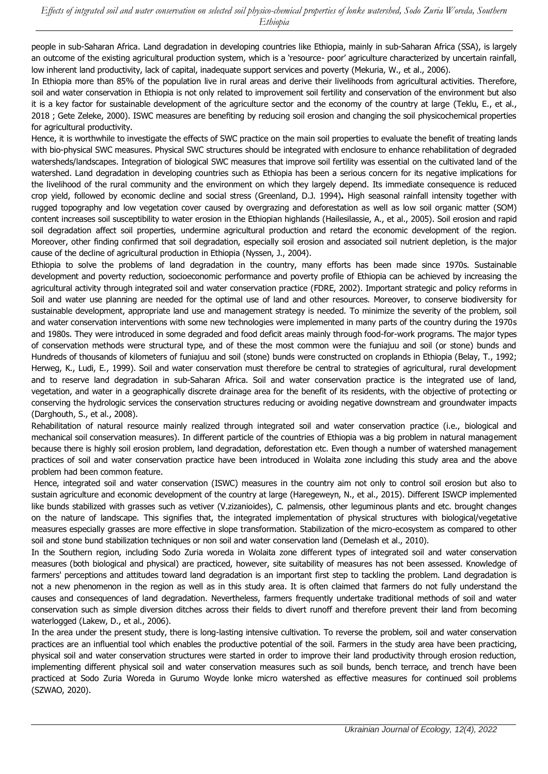people in sub-Saharan Africa. Land degradation in developing countries like Ethiopia, mainly in sub-Saharan Africa (SSA), is largely an outcome of the existing agricultural production system, which is a 'resource- poor' agriculture characterized by uncertain rainfall, low inherent land productivity, lack of capital, inadequate support services and poverty (Mekuria, W., et al., 2006).

In Ethiopia more than 85% of the population live in rural areas and derive their livelihoods from agricultural activities. Therefore, soil and water conservation in Ethiopia is not only related to improvement soil fertility and conservation of the environment but also it is a key factor for sustainable development of the agriculture sector and the economy of the country at large (Teklu, E., et al., 2018 ; Gete Zeleke, 2000). ISWC measures are benefiting by reducing soil erosion and changing the soil physicochemical properties for agricultural productivity.

Hence, it is worthwhile to investigate the effects of SWC practice on the main soil properties to evaluate the benefit of treating lands with bio-physical SWC measures. Physical SWC structures should be integrated with enclosure to enhance rehabilitation of degraded watersheds/landscapes. Integration of biological SWC measures that improve soil fertility was essential on the cultivated land of the watershed. Land degradation in developing countries such as Ethiopia has been a serious concern for its negative implications for the livelihood of the rural community and the environment on which they largely depend. Its immediate consequence is reduced crop yield, followed by economic decline and social stress (Greenland, D.J. 1994)**.** High seasonal rainfall intensity together with rugged topography and low vegetation cover caused by overgrazing and deforestation as well as low soil organic matter (SOM) content increases soil susceptibility to water erosion in the Ethiopian highlands (Hailesilassie, A., et al., 2005). Soil erosion and rapid soil degradation affect soil properties, undermine agricultural production and retard the economic development of the region. Moreover, other finding confirmed that soil degradation, especially soil erosion and associated soil nutrient depletion, is the major cause of the decline of agricultural production in Ethiopia (Nyssen, J., 2004).

Ethiopia to solve the problems of land degradation in the country, many efforts has been made since 1970s. Sustainable development and poverty reduction, socioeconomic performance and poverty profile of Ethiopia can be achieved by increasing the agricultural activity through integrated soil and water conservation practice (FDRE, 2002). Important strategic and policy reforms in Soil and water use planning are needed for the optimal use of land and other resources. Moreover, to conserve biodiversity for sustainable development, appropriate land use and management strategy is needed. To minimize the severity of the problem, soil and water conservation interventions with some new technologies were implemented in many parts of the country during the 1970s and 1980s. They were introduced in some degraded and food deficit areas mainly through food-for-work programs. The major types of conservation methods were structural type, and of these the most common were the funiajuu and soil (or stone) bunds and Hundreds of thousands of kilometers of funiajuu and soil (stone) bunds were constructed on croplands in Ethiopia (Belay, T., 1992; Herweg, K., Ludi, E., 1999). Soil and water conservation must therefore be central to strategies of agricultural, rural development and to reserve land degradation in sub-Saharan Africa. Soil and water conservation practice is the integrated use of land, vegetation, and water in a geographically discrete drainage area for the benefit of its residents, with the objective of protecting or conserving the hydrologic services the conservation structures reducing or avoiding negative downstream and groundwater impacts (Darghouth, S., et al., 2008).

Rehabilitation of natural resource mainly realized through integrated soil and water conservation practice (i.e., biological and mechanical soil conservation measures). In different particle of the countries of Ethiopia was a big problem in natural management because there is highly soil erosion problem, land degradation, deforestation etc. Even though a number of watershed management practices of soil and water conservation practice have been introduced in Wolaita zone including this study area and the above problem had been common feature.

Hence, integrated soil and water conservation (ISWC) measures in the country aim not only to control soil erosion but also to sustain agriculture and economic development of the country at large (Haregeweyn, N., et al., 2015). Different ISWCP implemented like bunds stabilized with grasses such as vetiver (V.zizanioides), C. palmensis, other leguminous plants and etc. brought changes on the nature of landscape. This signifies that, the integrated implementation of physical structures with biological/vegetative measures especially grasses are more effective in slope transformation. Stabilization of the micro-ecosystem as compared to other soil and stone bund stabilization techniques or non soil and water conservation land (Demelash et al., 2010).

In the Southern region, including Sodo Zuria woreda in Wolaita zone different types of integrated soil and water conservation measures (both biological and physical) are practiced, however, site suitability of measures has not been assessed. Knowledge of farmers' perceptions and attitudes toward land degradation is an important first step to tackling the problem. Land degradation is not a new phenomenon in the region as well as in this study area. It is often claimed that farmers do not fully understand the causes and consequences of land degradation. Nevertheless, farmers frequently undertake traditional methods of soil and water conservation such as simple diversion ditches across their fields to divert runoff and therefore prevent their land from becoming waterlogged (Lakew, D., et al., 2006).

In the area under the present study, there is long-lasting intensive cultivation. To reverse the problem, soil and water conservation practices are an influential tool which enables the productive potential of the soil. Farmers in the study area have been practicing, physical soil and water conservation structures were started in order to improve their land productivity through erosion reduction, implementing different physical soil and water conservation measures such as soil bunds, bench terrace, and trench have been practiced at Sodo Zuria Woreda in Gurumo Woyde lonke micro watershed as effective measures for continued soil problems (SZWAO, 2020).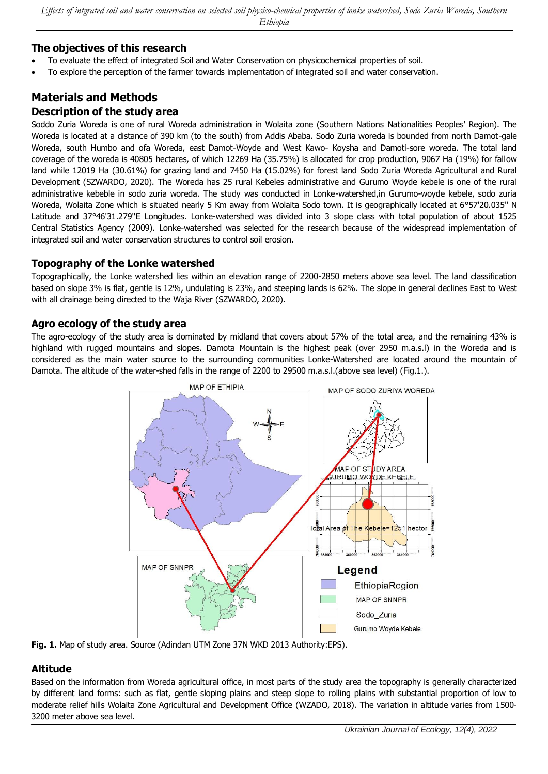### **The objectives of this research**

- To evaluate the effect of integrated Soil and Water Conservation on physicochemical properties of soil.
- To explore the perception of the farmer towards implementation of integrated soil and water conservation.

# **Materials and Methods Description of the study area**

Soddo Zuria Woreda is one of rural Woreda administration in Wolaita zone (Southern Nations Nationalities Peoples' Region). The Woreda is located at a distance of 390 km (to the south) from Addis Ababa. Sodo Zuria woreda is bounded from north Damot-gale Woreda, south Humbo and ofa Woreda, east Damot-Woyde and West Kawo- Koysha and Damoti-sore woreda. The total land coverage of the woreda is 40805 hectares, of which 12269 Ha (35.75%) is allocated for crop production, 9067 Ha (19%) for fallow land while 12019 Ha (30.61%) for grazing land and 7450 Ha (15.02%) for forest land Sodo Zuria Woreda Agricultural and Rural Development (SZWARDO, 2020). The Woreda has 25 rural Kebeles administrative and Gurumo Woyde kebele is one of the rural administrative kebeble in sodo zuria woreda. The study was conducted in Lonke-watershed,in Gurumo-woyde kebele, sodo zuria Woreda, Wolaita Zone which is situated nearly 5 Km away from Wolaita Sodo town. It is geographically located at 6°57'20.035'' N Latitude and 37°46'31.279''E Longitudes. Lonke-watershed was divided into 3 slope class with total population of about 1525 Central Statistics Agency (2009). Lonke-watershed was selected for the research because of the widespread implementation of integrated soil and water conservation structures to control soil erosion.

### **Topography of the Lonke watershed**

Topographically, the Lonke watershed lies within an elevation range of 2200-2850 meters above sea level. The land classification based on slope 3% is flat, gentle is 12%, undulating is 23%, and steeping lands is 62%. The slope in general declines East to West with all drainage being directed to the Waja River (SZWARDO, 2020).

### **Agro ecology of the study area**

The agro-ecology of the study area is dominated by midland that covers about 57% of the total area, and the remaining 43% is highland with rugged mountains and slopes. Damota Mountain is the highest peak (over 2950 m.a.s.l) in the Woreda and is considered as the main water source to the surrounding communities Lonke-Watershed are located around the mountain of Damota. The altitude of the water-shed falls in the range of 2200 to 29500 m.a.s.l.(above sea level) (Fig.1.).





# **Altitude**

Based on the information from Woreda agricultural office, in most parts of the study area the topography is generally characterized by different land forms: such as flat, gentle sloping plains and steep slope to rolling plains with substantial proportion of low to moderate relief hills Wolaita Zone Agricultural and Development Office (WZADO, 2018). The variation in altitude varies from 1500- 3200 meter above sea level.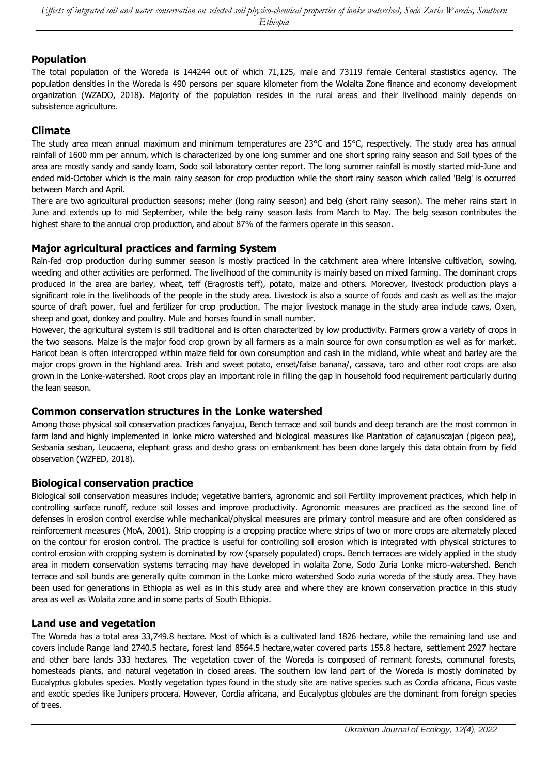### **Population**

The total population of the Woreda is 144244 out of which 71,125, male and 73119 female Centeral stastistics agency. The population densities in the Woreda is 490 persons per square kilometer from the Wolaita Zone finance and economy development organization (WZADO, 2018). Majority of the population resides in the rural areas and their livelihood mainly depends on subsistence agriculture.

### **Climate**

The study area mean annual maximum and minimum temperatures are 23°C and 15°C, respectively. The study area has annual rainfall of 1600 mm per annum, which is characterized by one long summer and one short spring rainy season and Soil types of the area are mostly sandy and sandy loam, Sodo soil laboratory center report. The long summer rainfall is mostly started mid-June and ended mid-October which is the main rainy season for crop production while the short rainy season which called 'Belg' is occurred between March and April.

There are two agricultural production seasons; meher (long rainy season) and belg (short rainy season). The meher rains start in June and extends up to mid September, while the belg rainy season lasts from March to May. The belg season contributes the highest share to the annual crop production, and about 87% of the farmers operate in this season.

### **Major agricultural practices and farming System**

Rain-fed crop production during summer season is mostly practiced in the catchment area where intensive cultivation, sowing, weeding and other activities are performed. The livelihood of the community is mainly based on mixed farming. The dominant crops produced in the area are barley, wheat, teff (Eragrostis teff), potato, maize and others. Moreover, livestock production plays a significant role in the livelihoods of the people in the study area. Livestock is also a source of foods and cash as well as the major source of draft power, fuel and fertilizer for crop production. The major livestock manage in the study area include caws, Oxen, sheep and goat, donkey and poultry. Mule and horses found in small number.

However, the agricultural system is still traditional and is often characterized by low productivity. Farmers grow a variety of crops in the two seasons. Maize is the major food crop grown by all farmers as a main source for own consumption as well as for market. Haricot bean is often intercropped within maize field for own consumption and cash in the midland, while wheat and barley are the major crops grown in the highland area. Irish and sweet potato, enset/false banana/, cassava, taro and other root crops are also grown in the Lonke-watershed. Root crops play an important role in filling the gap in household food requirement particularly during the lean season.

### **Common conservation structures in the Lonke watershed**

Among those physical soil conservation practices fanyajuu, Bench terrace and soil bunds and deep teranch are the most common in farm land and highly implemented in lonke micro watershed and biological measures like Plantation of cajanuscajan (pigeon pea), Sesbania sesban, Leucaena, elephant grass and desho grass on embankment has been done largely this data obtain from by field observation (WZFED, 2018).

### **Biological conservation practice**

Biological soil conservation measures include; vegetative barriers, agronomic and soil Fertility improvement practices, which help in controlling surface runoff, reduce soil losses and improve productivity. Agronomic measures are practiced as the second line of defenses in erosion control exercise while mechanical/physical measures are primary control measure and are often considered as reinforcement measures (MoA, 2001). Strip cropping is a cropping practice where strips of two or more crops are alternately placed on the contour for erosion control. The practice is useful for controlling soil erosion which is integrated with physical strictures to control erosion with cropping system is dominated by row (sparsely populated) crops. Bench terraces are widely applied in the study area in modern conservation systems terracing may have developed in wolaita Zone, Sodo Zuria Lonke micro-watershed. Bench terrace and soil bunds are generally quite common in the Lonke micro watershed Sodo zuria woreda of the study area. They have been used for generations in Ethiopia as well as in this study area and where they are known conservation practice in this study area as well as Wolaita zone and in some parts of South Ethiopia.

### **Land use and vegetation**

The Woreda has a total area 33,749.8 hectare. Most of which is a cultivated land 1826 hectare, while the remaining land use and covers include Range land 2740.5 hectare, forest land 8564.5 hectare,water covered parts 155.8 hectare, settlement 2927 hectare and other bare lands 333 hectares. The vegetation cover of the Woreda is composed of remnant forests, communal forests, homesteads plants, and natural vegetation in closed areas. The southern low land part of the Woreda is mostly dominated by Eucalyptus globules species. Mostly vegetation types found in the study site are native species such as Cordia africana, Ficus vaste and exotic species like Junipers procera. However, Cordia africana, and Eucalyptus globules are the dominant from foreign species of trees.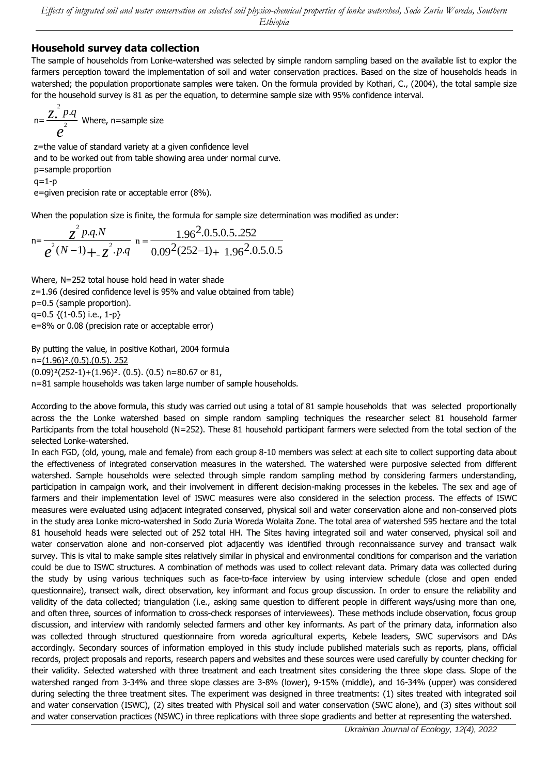### **Household survey data collection**

The sample of households from Lonke-watershed was selected by simple random sampling based on the available list to explor the farmers perception toward the implementation of soil and water conservation practices. Based on the size of households heads in watershed; the population proportionate samples were taken. On the formula provided by Kothari, C., (2004), the total sample size for the household survey is 81 as per the equation, to determine sample size with 95% confidence interval.

$$
n = \frac{Z^2 P \cdot q}{e^2}
$$
 Where, n=sample size

z=the value of standard variety at a given confidence level and to be worked out from table showing area under normal curve. p=sample proportion  $q=1-p$ e=given precision rate or acceptable error (8%).

When the population size is finite, the formula for sample size determination was modified as under:

$$
n = \frac{z^2 p.q.N}{e^2(N-1) + z^2.p.q} \quad n = \frac{1.96^2 \cdot 0.5 \cdot 0.5 \cdot 0.252}{0.09^2 (252 - 1) + 1.96^2 \cdot 0.5 \cdot 0.5}
$$

Where, N=252 total house hold head in water shade z=1.96 (desired confidence level is 95% and value obtained from table) p=0.5 (sample proportion).  $q=0.5$  { $(1-0.5)$  i.e.,  $1-p$ } e=8% or 0.08 (precision rate or acceptable error)

By putting the value, in positive Kothari, 2004 formula n=(1.96)².(0.5).(0.5). 252 (0.09)²(252-1)+(1.96)². (0.5). (0.5) n=80.67 or 81, n=81 sample households was taken large number of sample households.

According to the above formula, this study was carried out using a total of 81 sample households that was selected proportionally across the the Lonke watershed based on simple random sampling techniques the researcher select 81 household farmer Participants from the total household (N=252). These 81 household participant farmers were selected from the total section of the selected Lonke-watershed.

In each FGD, (old, young, male and female) from each group 8-10 members was select at each site to collect supporting data about the effectiveness of integrated conservation measures in the watershed. The watershed were purposive selected from different watershed. Sample households were selected through simple random sampling method by considering farmers understanding, participation in campaign work, and their involvement in different decision-making processes in the kebeles. The sex and age of farmers and their implementation level of ISWC measures were also considered in the selection process. The effects of ISWC measures were evaluated using adjacent integrated conserved, physical soil and water conservation alone and non-conserved plots in the study area Lonke micro-watershed in Sodo Zuria Woreda Wolaita Zone. The total area of watershed 595 hectare and the total 81 household heads were selected out of 252 total HH. The Sites having integrated soil and water conserved, physical soil and water conservation alone and non-conserved plot adjacently was identified through reconnaissance survey and transact walk survey. This is vital to make sample sites relatively similar in physical and environmental conditions for comparison and the variation could be due to ISWC structures. A combination of methods was used to collect relevant data. Primary data was collected during the study by using various techniques such as face-to-face interview by using interview schedule (close and open ended questionnaire), transect walk, direct observation, key informant and focus group discussion. In order to ensure the reliability and validity of the data collected; triangulation (i.e., asking same question to different people in different ways/using more than one, and often three, sources of information to cross-check responses of interviewees). These methods include observation, focus group discussion, and interview with randomly selected farmers and other key informants. As part of the primary data, information also was collected through structured questionnaire from woreda agricultural experts, Kebele leaders, SWC supervisors and DAs accordingly. Secondary sources of information employed in this study include published materials such as reports, plans, official records, project proposals and reports, research papers and websites and these sources were used carefully by counter checking for their validity. Selected watershed with three treatment and each treatment sites considering the three slope class. Slope of the watershed ranged from 3-34% and three slope classes are 3-8% (lower), 9-15% (middle), and 16-34% (upper) was considered during selecting the three treatment sites. The experiment was designed in three treatments: (1) sites treated with integrated soil and water conservation (ISWC), (2) sites treated with Physical soil and water conservation (SWC alone), and (3) sites without soil and water conservation practices (NSWC) in three replications with three slope gradients and better at representing the watershed.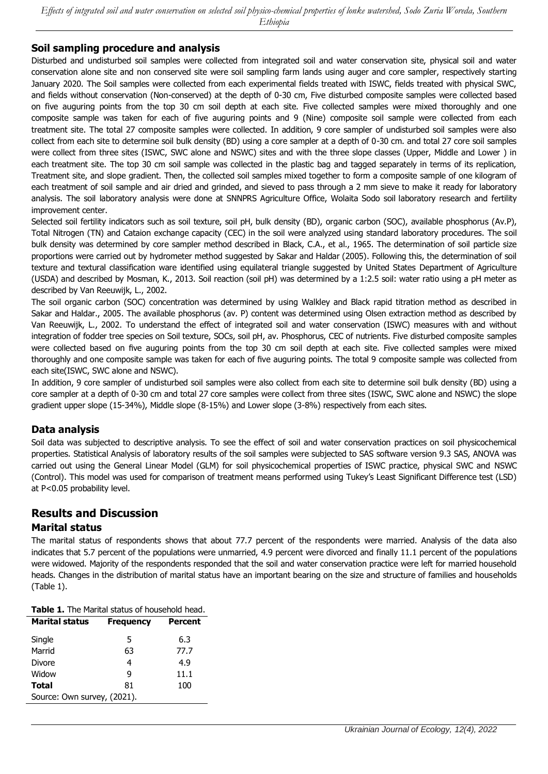### **Soil sampling procedure and analysis**

Disturbed and undisturbed soil samples were collected from integrated soil and water conservation site, physical soil and water conservation alone site and non conserved site were soil sampling farm lands using auger and core sampler, respectively starting January 2020. The Soil samples were collected from each experimental fields treated with ISWC, fields treated with physical SWC, and fields without conservation (Non-conserved) at the depth of 0-30 cm, Five disturbed composite samples were collected based on five auguring points from the top 30 cm soil depth at each site. Five collected samples were mixed thoroughly and one composite sample was taken for each of five auguring points and 9 (Nine) composite soil sample were collected from each treatment site. The total 27 composite samples were collected. In addition, 9 core sampler of undisturbed soil samples were also collect from each site to determine soil bulk density (BD) using a core sampler at a depth of 0-30 cm. and total 27 core soil samples were collect from three sites (ISWC, SWC alone and NSWC) sites and with the three slope classes (Upper, Middle and Lower ) in each treatment site. The top 30 cm soil sample was collected in the plastic bag and tagged separately in terms of its replication, Treatment site, and slope gradient. Then, the collected soil samples mixed together to form a composite sample of one kilogram of each treatment of soil sample and air dried and grinded, and sieved to pass through a 2 mm sieve to make it ready for laboratory analysis. The soil laboratory analysis were done at SNNPRS Agriculture Office, Wolaita Sodo soil laboratory research and fertility improvement center.

Selected soil fertility indicators such as soil texture, soil pH, bulk density (BD), organic carbon (SOC), available phosphorus (Av.P), Total Nitrogen (TN) and Cataion exchange capacity (CEC) in the soil were analyzed using standard laboratory procedures. The soil bulk density was determined by core sampler method described in Black, C.A., et al., 1965. The determination of soil particle size proportions were carried out by hydrometer method suggested by Sakar and Haldar (2005). Following this, the determination of soil texture and textural classification ware identified using equilateral triangle suggested by United States Department of Agriculture (USDA) and described by Mosman, K., 2013. Soil reaction (soil pH) was determined by a 1:2.5 soil: water ratio using a pH meter as described by Van Reeuwijk, L., 2002.

The soil organic carbon (SOC) concentration was determined by using Walkley and Black rapid titration method as described in Sakar and Haldar., 2005. The available phosphorus (av. P) content was determined using Olsen extraction method as described by Van Reeuwijk, L., 2002. To understand the effect of integrated soil and water conservation (ISWC) measures with and without integration of fodder tree species on Soil texture, SOCs, soil pH, av. Phosphorus, CEC of nutrients. Five disturbed composite samples were collected based on five auguring points from the top 30 cm soil depth at each site. Five collected samples were mixed thoroughly and one composite sample was taken for each of five auguring points. The total 9 composite sample was collected from each site(ISWC, SWC alone and NSWC).

In addition, 9 core sampler of undisturbed soil samples were also collect from each site to determine soil bulk density (BD) using a core sampler at a depth of 0-30 cm and total 27 core samples were collect from three sites (ISWC, SWC alone and NSWC) the slope gradient upper slope (15-34%), Middle slope (8-15%) and Lower slope (3-8%) respectively from each sites.

### **Data analysis**

Soil data was subjected to descriptive analysis. To see the effect of soil and water conservation practices on soil physicochemical properties. Statistical Analysis of laboratory results of the soil samples were subjected to SAS software version 9.3 SAS, ANOVA was carried out using the General Linear Model (GLM) for soil physicochemical properties of ISWC practice, physical SWC and NSWC (Control). This model was used for comparison of treatment means performed using Tukey's Least Significant Difference test (LSD) at P<0.05 probability level.

# **Results and Discussion**

### **Marital status**

The marital status of respondents shows that about 77.7 percent of the respondents were married. Analysis of the data also indicates that 5.7 percent of the populations were unmarried, 4.9 percent were divorced and finally 11.1 percent of the populations were widowed. Majority of the respondents responded that the soil and water conservation practice were left for married household heads. Changes in the distribution of marital status have an important bearing on the size and structure of families and households (Table 1).

| <b>Table 1.</b> The Marital status of household head. |                  |                |  |  |
|-------------------------------------------------------|------------------|----------------|--|--|
| <b>Marital status</b>                                 | <b>Frequency</b> | <b>Percent</b> |  |  |
| Single                                                | 5                | 6.3            |  |  |
| Marrid                                                | 63               | 77.7           |  |  |
| Divore                                                | 4                | 4.9            |  |  |
| Widow                                                 | q                | 11.1           |  |  |
| <b>Total</b>                                          | 81               | 100            |  |  |
| Source: Own survey, (2021).                           |                  |                |  |  |

**Table 1.** The Marital status of household head.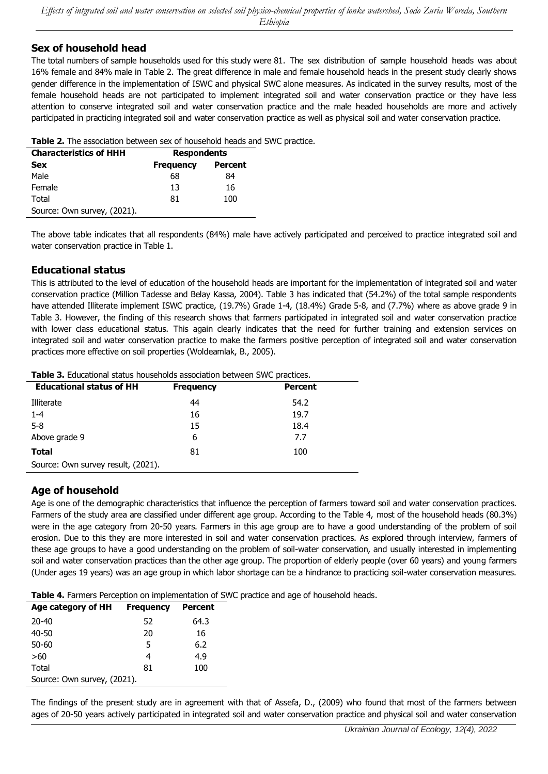### **Sex of household head**

The total numbers of sample households used for this study were 81. The sex distribution of sample household heads was about 16% female and 84% male in Table 2. The great difference in male and female household heads in the present study clearly shows gender difference in the implementation of ISWC and physical SWC alone measures. As indicated in the survey results, most of the female household heads are not participated to implement integrated soil and water conservation practice or they have less attention to conserve integrated soil and water conservation practice and the male headed households are more and actively participated in practicing integrated soil and water conservation practice as well as physical soil and water conservation practice.

| <b>Characteristics of HHH</b> | <b>Respondents</b>                 |     |  |  |
|-------------------------------|------------------------------------|-----|--|--|
| <b>Sex</b>                    | <b>Frequency</b><br><b>Percent</b> |     |  |  |
| Male                          | 68                                 | 84  |  |  |
| Female                        | 13                                 | 16  |  |  |
| Total                         | 81                                 | 100 |  |  |
| Source: Own survey, (2021).   |                                    |     |  |  |

The above table indicates that all respondents (84%) male have actively participated and perceived to practice integrated soil and water conservation practice in Table 1.

#### **Educational status**

This is attributed to the level of education of the household heads are important for the implementation of integrated soil and water conservation practice (Million Tadesse and Belay Kassa, 2004). Table 3 has indicated that (54.2%) of the total sample respondents have attended Illiterate implement ISWC practice, (19.7%) Grade 1-4, (18.4%) Grade 5-8, and (7.7%) where as above grade 9 in Table 3. However, the finding of this research shows that farmers participated in integrated soil and water conservation practice with lower class educational status. This again clearly indicates that the need for further training and extension services on integrated soil and water conservation practice to make the farmers positive perception of integrated soil and water conservation practices more effective on soil properties (Woldeamlak, B., 2005).

| Table 3. Educational status households association between SWC practices. |  |  |
|---------------------------------------------------------------------------|--|--|
|---------------------------------------------------------------------------|--|--|

| <b>Educational status of HH</b>    | <b>Frequency</b> | <b>Percent</b> |
|------------------------------------|------------------|----------------|
| Illiterate                         | 44               | 54.2           |
| $1 - 4$                            | 16               | 19.7           |
| $5 - 8$                            | 15               | 18.4           |
| Above grade 9                      | 6                | 7.7            |
| <b>Total</b>                       | 81               | 100            |
| Source: Own survey result, (2021). |                  |                |

### **Age of household**

Age is one of the demographic characteristics that influence the perception of farmers toward soil and water conservation practices. Farmers of the study area are classified under different age group. According to the Table 4, most of the household heads (80.3%) were in the age category from 20-50 years. Farmers in this age group are to have a good understanding of the problem of soil erosion. Due to this they are more interested in soil and water conservation practices. As explored through interview, farmers of these age groups to have a good understanding on the problem of soil-water conservation, and usually interested in implementing soil and water conservation practices than the other age group. The proportion of elderly people (over 60 years) and young farmers (Under ages 19 years) was an age group in which labor shortage can be a hindrance to practicing soil-water conservation measures.

**Table 4.** Farmers Perception on implementation of SWC practice and age of household heads.

| Age category of HH          | <b>Frequency</b> | <b>Percent</b> |
|-----------------------------|------------------|----------------|
| 20-40                       | 52               | 64.3           |
| 40-50                       | 20               | 16             |
| 50-60                       | 5                | 6.2            |
| >60                         | 4                | 4.9            |
| Total                       | 81               | 100            |
| Source: Own survey, (2021). |                  |                |

The findings of the present study are in agreement with that of Assefa, D., (2009) who found that most of the farmers between ages of 20-50 years actively participated in integrated soil and water conservation practice and physical soil and water conservation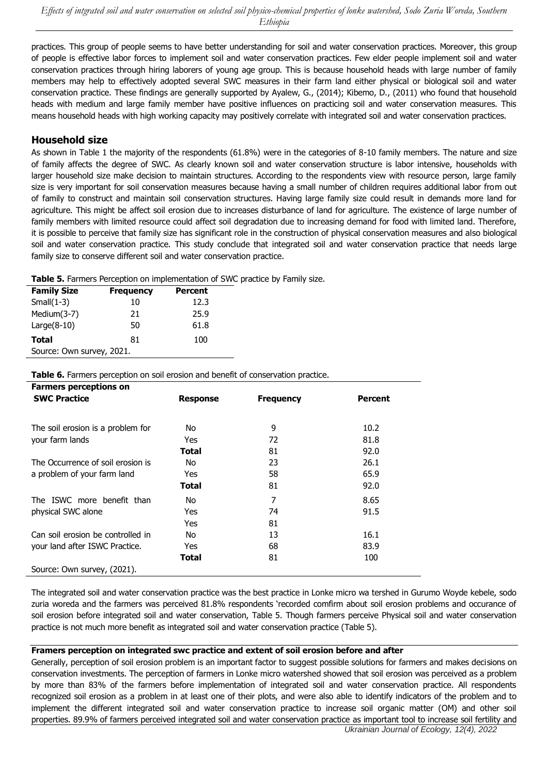practices. This group of people seems to have better understanding for soil and water conservation practices. Moreover, this group of people is effective labor forces to implement soil and water conservation practices. Few elder people implement soil and water conservation practices through hiring laborers of young age group. This is because household heads with large number of family members may help to effectively adopted several SWC measures in their farm land either physical or biological soil and water conservation practice. These findings are generally supported by Ayalew, G., (2014); Kibemo, D., (2011) who found that household heads with medium and large family member have positive influences on practicing soil and water conservation measures. This means household heads with high working capacity may positively correlate with integrated soil and water conservation practices.

### **Household size**

As shown in Table 1 the majority of the respondents (61.8%) were in the categories of 8-10 family members. The nature and size of family affects the degree of SWC. As clearly known soil and water conservation structure is labor intensive, households with larger household size make decision to maintain structures. According to the respondents view with resource person, large family size is very important for soil conservation measures because having a small number of children requires additional labor from out of family to construct and maintain soil conservation structures. Having large family size could result in demands more land for agriculture. This might be affect soil erosion due to increases disturbance of land for agriculture. The existence of large number of family members with limited resource could affect soil degradation due to increasing demand for food with limited land. Therefore, it is possible to perceive that family size has significant role in the construction of physical conservation measures and also biological soil and water conservation practice. This study conclude that integrated soil and water conservation practice that needs large family size to conserve different soil and water conservation practice.

**Table 5.** Farmers Perception on implementation of SWC practice by Family size.

| <b>Family Size</b>        | <b>Frequency</b> | <b>Percent</b> |
|---------------------------|------------------|----------------|
| Small $(1-3)$             | 10               | 12.3           |
| Medium(3-7)               | 21               | 25.9           |
| $Large(8-10)$             | 50               | 61.8           |
| Total                     | 81               | 100            |
| Source: Own survey, 2021. |                  |                |

#### **Table 6.** Farmers perception on soil erosion and benefit of conservation practice.

| <b>Farmers perceptions on</b>     |                 |                  |                |
|-----------------------------------|-----------------|------------------|----------------|
| <b>SWC Practice</b>               | <b>Response</b> | <b>Frequency</b> | <b>Percent</b> |
|                                   |                 |                  |                |
| The soil erosion is a problem for | No.             | 9                | 10.2           |
| your farm lands                   | Yes             | 72               | 81.8           |
|                                   | Total           | 81               | 92.0           |
| The Occurrence of soil erosion is | No.             | 23               | 26.1           |
| a problem of your farm land       | Yes             | 58               | 65.9           |
|                                   | Total           | 81               | 92.0           |
| The ISWC more benefit than        | No.             | 7                | 8.65           |
| physical SWC alone                | Yes             | 74               | 91.5           |
|                                   | Yes             | 81               |                |
| Can soil erosion be controlled in | No.             | 13               | 16.1           |
| your land after ISWC Practice.    | Yes             | 68               | 83.9           |
|                                   | Total           | 81               | 100            |
| Source: Own survey, (2021).       |                 |                  |                |

The integrated soil and water conservation practice was the best practice in Lonke micro wa tershed in Gurumo Woyde kebele, sodo zuria woreda and the farmers was perceived 81.8% respondents 'recorded comfirm about soil erosion problems and occurance of soil erosion before integrated soil and water conservation, Table 5. Though farmers perceive Physical soil and water conservation practice is not much more benefit as integrated soil and water conservation practice (Table 5).

#### **Framers perception on integrated swc practice and extent of soil erosion before and after**

*Ukrainian Journal of Ecology, 12(4), 2022* Generally, perception of soil erosion problem is an important factor to suggest possible solutions for farmers and makes decisions on conservation investments. The perception of farmers in Lonke micro watershed showed that soil erosion was perceived as a problem by more than 83% of the farmers before implementation of integrated soil and water conservation practice. All respondents recognized soil erosion as a problem in at least one of their plots, and were also able to identify indicators of the problem and to implement the different integrated soil and water conservation practice to increase soil organic matter (OM) and other soil properties. 89.9% of farmers perceived integrated soil and water conservation practice as important tool to increase soil fertility and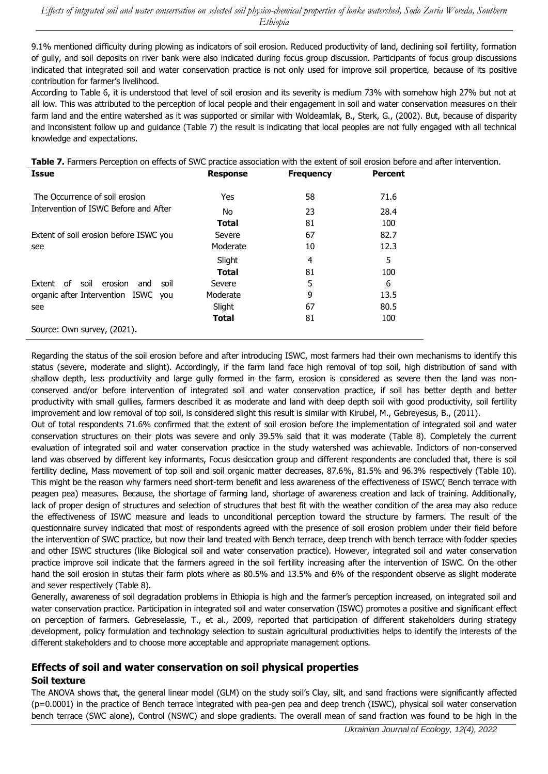9.1% mentioned difficulty during plowing as indicators of soil erosion. Reduced productivity of land, declining soil fertility, formation of gully, and soil deposits on river bank were also indicated during focus group discussion. Participants of focus group discussions indicated that integrated soil and water conservation practice is not only used for improve soil propertice, because of its positive contribution for farmer's livelihood.

According to Table 6, it is understood that level of soil erosion and its severity is medium 73% with somehow high 27% but not at all low. This was attributed to the perception of local people and their engagement in soil and water conservation measures on their farm land and the entire watershed as it was supported or similar with Woldeamlak, B., Sterk, G., (2002). But, because of disparity and inconsistent follow up and guidance (Table 7) the result is indicating that local peoples are not fully engaged with all technical knowledge and expectations.

| Table 7. Farmers Perception on effects of SWC practice association with the extent of soil erosion before and after intervention. |  |
|-----------------------------------------------------------------------------------------------------------------------------------|--|
|-----------------------------------------------------------------------------------------------------------------------------------|--|

| <b>Issue</b>                                   | <b>Response</b> | <b>Frequency</b> | <b>Percent</b> |
|------------------------------------------------|-----------------|------------------|----------------|
| The Occurrence of soil erosion                 | Yes             | 58               | 71.6           |
| Intervention of ISWC Before and After          | No              | 23               | 28.4           |
|                                                | Total           | 81               | 100            |
| Extent of soil erosion before ISWC you         | Severe          | 67               | 82.7           |
| see                                            | Moderate        | 10               | 12.3           |
|                                                | Slight          | 4                | 5              |
|                                                | <b>Total</b>    | 81               | 100            |
| οf<br>Extent<br>soil<br>erosion<br>soil<br>and | Severe          | 5                | 6              |
| organic after Intervention ISWC you            | Moderate        | 9                | 13.5           |
| see                                            | Slight          | 67               | 80.5           |
|                                                | <b>Total</b>    | 81               | 100            |
| Source: Own survey, (2021).                    |                 |                  |                |

Regarding the status of the soil erosion before and after introducing ISWC, most farmers had their own mechanisms to identify this status (severe, moderate and slight). Accordingly, if the farm land face high removal of top soil, high distribution of sand with shallow depth, less productivity and large gully formed in the farm, erosion is considered as severe then the land was nonconserved and/or before intervention of integrated soil and water conservation practice, if soil has better depth and better productivity with small gullies, farmers described it as moderate and land with deep depth soil with good productivity, soil fertility improvement and low removal of top soil, is considered slight this result is similar with Kirubel, M., Gebreyesus, B., (2011).

Out of total respondents 71.6% confirmed that the extent of soil erosion before the implementation of integrated soil and water conservation structures on their plots was severe and only 39.5% said that it was moderate (Table 8). Completely the current evaluation of integrated soil and water conservation practice in the study watershed was achievable. Indictors of non-conserved land was observed by different key informants, Focus desiccation group and different respondents are concluded that, there is soil fertility decline, Mass movement of top soil and soil organic matter decreases, 87.6%, 81.5% and 96.3% respectively (Table 10). This might be the reason why farmers need short-term benefit and less awareness of the effectiveness of ISWC( Bench terrace with peagen pea) measures. Because, the shortage of farming land, shortage of awareness creation and lack of training. Additionally, lack of proper design of structures and selection of structures that best fit with the weather condition of the area may also reduce the effectiveness of ISWC measure and leads to unconditional perception toward the structure by farmers. The result of the questionnaire survey indicated that most of respondents agreed with the presence of soil erosion problem under their field before the intervention of SWC practice, but now their land treated with Bench terrace, deep trench with bench terrace with fodder species and other ISWC structures (like Biological soil and water conservation practice). However, integrated soil and water conservation practice improve soil indicate that the farmers agreed in the soil fertility increasing after the intervention of ISWC. On the other hand the soil erosion in stutas their farm plots where as 80.5% and 13.5% and 6% of the respondent observe as slight moderate and sever respectively (Table 8).

Generally, awareness of soil degradation problems in Ethiopia is high and the farmer's perception increased, on integrated soil and water conservation practice. Participation in integrated soil and water conservation (ISWC) promotes a positive and significant effect on perception of farmers. Gebreselassie, T., et al., 2009, reported that participation of different stakeholders during strategy development, policy formulation and technology selection to sustain agricultural productivities helps to identify the interests of the different stakeholders and to choose more acceptable and appropriate management options.

# **Effects of soil and water conservation on soil physical properties**

### **Soil texture**

The ANOVA shows that, the general linear model (GLM) on the study soil's Clay, silt, and sand fractions were significantly affected (p=0.0001) in the practice of Bench terrace integrated with pea-gen pea and deep trench (ISWC), physical soil water conservation bench terrace (SWC alone), Control (NSWC) and slope gradients. The overall mean of sand fraction was found to be high in the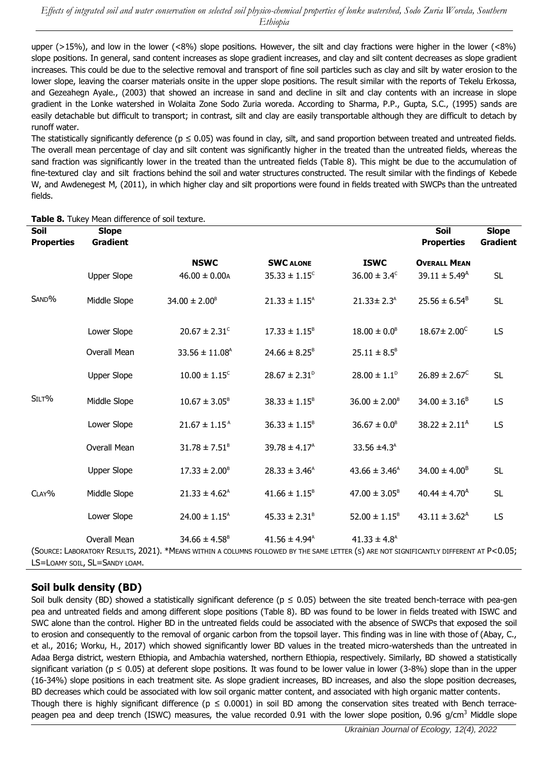upper ( $>15\%$ ), and low in the lower (<8%) slope positions. However, the silt and clay fractions were higher in the lower (<8%) slope positions. In general, sand content increases as slope gradient increases, and clay and silt content decreases as slope gradient increases. This could be due to the selective removal and transport of fine soil particles such as clay and silt by water erosion to the lower slope, leaving the coarser materials onsite in the upper slope positions. The result similar with the reports of Tekelu Erkossa, and Gezeahegn Ayale., (2003) that showed an increase in sand and decline in silt and clay contents with an increase in slope gradient in the Lonke watershed in Wolaita Zone Sodo Zuria woreda. According to Sharma, P.P., Gupta, S.C., (1995) sands are easily detachable but difficult to transport; in contrast, silt and clay are easily transportable although they are difficult to detach by runoff water.

The statistically significantly deference ( $p \le 0.05$ ) was found in clay, silt, and sand proportion between treated and untreated fields. The overall mean percentage of clay and silt content was significantly higher in the treated than the untreated fields, whereas the sand fraction was significantly lower in the treated than the untreated fields (Table 8). This might be due to the accumulation of fine-textured clay and silt fractions behind the soil and water structures constructed. The result similar with the findings of Kebede W, and Awdenegest M, (2011), in which higher clay and silt proportions were found in fields treated with SWCPs than the untreated fields.

| Soil              | <b>Slope</b>                                  |                                                                                                                                                              |                             |                              | <b>Soil</b>                 | <b>Slope</b>    |
|-------------------|-----------------------------------------------|--------------------------------------------------------------------------------------------------------------------------------------------------------------|-----------------------------|------------------------------|-----------------------------|-----------------|
| <b>Properties</b> | <b>Gradient</b>                               |                                                                                                                                                              |                             |                              | <b>Properties</b>           | <b>Gradient</b> |
|                   |                                               | <b>NSWC</b>                                                                                                                                                  | <b>SWC ALONE</b>            | <b>ISWC</b>                  | <b>OVERALL MEAN</b>         |                 |
|                   | <b>Upper Slope</b>                            | $46.00 \pm 0.00$ A                                                                                                                                           | $35.33 \pm 1.15^{\circ}$    | $36.00 \pm 3.4^{\circ}$      | $39.11 \pm 5.49^{\text{A}}$ | <b>SL</b>       |
| SAND%             | Middle Slope                                  | $34.00 \pm 2.00^8$                                                                                                                                           | $21.33 \pm 1.15^{\text{A}}$ | $21.33 \pm 2.3^{\text{A}}$   | $25.56 \pm 6.54^B$          | <b>SL</b>       |
|                   | Lower Slope                                   | $20.67 \pm 2.31$ <sup>c</sup>                                                                                                                                | $17.33 \pm 1.15^8$          | $18.00 \pm 0.0^8$            | $18.67 \pm 2.00^{\circ}$    | <b>LS</b>       |
|                   | Overall Mean                                  | $33.56 \pm 11.08$ <sup>A</sup>                                                                                                                               | $24.66 \pm 8.25^8$          | $25.11 \pm 8.5^8$            |                             |                 |
|                   | <b>Upper Slope</b>                            | $10.00 \pm 1.15^{\circ}$                                                                                                                                     | $28.67 \pm 2.31^{\circ}$    | $28.00 \pm 1.1^{\circ}$      | $26.89 \pm 2.67^{\circ}$    | <b>SL</b>       |
| SILT%             | Middle Slope                                  | $10.67 \pm 3.05^8$                                                                                                                                           | $38.33 \pm 1.15^8$          | $36.00 \pm 2.00^8$           | $34.00 \pm 3.16^8$          | <b>LS</b>       |
|                   | Lower Slope                                   | $21.67 \pm 1.15^{A}$                                                                                                                                         | $36.33 \pm 1.15^8$          | $36.67 \pm 0.0^8$            | $38.22 \pm 2.11^{\text{A}}$ | <b>LS</b>       |
|                   | Overall Mean                                  | $31.78 \pm 7.51^8$                                                                                                                                           | $39.78 \pm 4.17^{\circ}$    | 33.56 $\pm$ 4.3 <sup>A</sup> |                             |                 |
|                   | <b>Upper Slope</b>                            | $17.33 \pm 2.00^8$                                                                                                                                           | $28.33 \pm 3.46^{\text{A}}$ | $43.66 \pm 3.46^{\text{A}}$  | $34.00 \pm 4.00^8$          | <b>SL</b>       |
| CLAY%             | Middle Slope                                  | $21.33 \pm 4.62^{\text{A}}$                                                                                                                                  | $41.66 \pm 1.15^8$          | $47.00 \pm 3.05^8$           | $40.44 \pm 4.70^{\text{A}}$ | <b>SL</b>       |
|                   | Lower Slope                                   | $24.00 \pm 1.15^{\text{A}}$                                                                                                                                  | $45.33 \pm 2.31^8$          | $52.00 \pm 1.15^8$           | $43.11 \pm 3.62^{\text{A}}$ | <b>LS</b>       |
|                   | Overall Mean<br>LS=LOAMY SOIL, SL=SANDY LOAM. | $34.66 \pm 4.58^8$<br>(SOURCE: LABORATORY RESULTS, 2021). *MEANS WITHIN A COLUMNS FOLLOWED BY THE SAME LETTER (S) ARE NOT SIGNIFICANTLY DIFFERENT AT P<0.05; | $41.56 \pm 4.94^{\text{A}}$ | $41.33 \pm 4.8$ <sup>A</sup> |                             |                 |

**Table 8.** Tukey Mean difference of soil texture.

### **Soil bulk density (BD)**

Soil bulk density (BD) showed a statistically significant deference ( $p \le 0.05$ ) between the site treated bench-terrace with pea-gen pea and untreated fields and among different slope positions (Table 8). BD was found to be lower in fields treated with ISWC and SWC alone than the control. Higher BD in the untreated fields could be associated with the absence of SWCPs that exposed the soil to erosion and consequently to the removal of organic carbon from the topsoil layer. This finding was in line with those of (Abay, C., et al., 2016; Worku, H., 2017) which showed significantly lower BD values in the treated micro-watersheds than the untreated in Adaa Berga district, western Ethiopia, and Ambachia watershed, northern Ethiopia, respectively. Similarly, BD showed a statistically significant variation ( $p \le 0.05$ ) at deferent slope positions. It was found to be lower value in lower (3-8%) slope than in the upper (16-34%) slope positions in each treatment site. As slope gradient increases, BD increases, and also the slope position decreases, BD decreases which could be associated with low soil organic matter content, and associated with high organic matter contents. Though there is highly significant difference ( $p \le 0.0001$ ) in soil BD among the conservation sites treated with Bench terracepeagen pea and deep trench (ISWC) measures, the value recorded 0.91 with the lower slope position, 0.96  $g/cm<sup>3</sup>$  Middle slope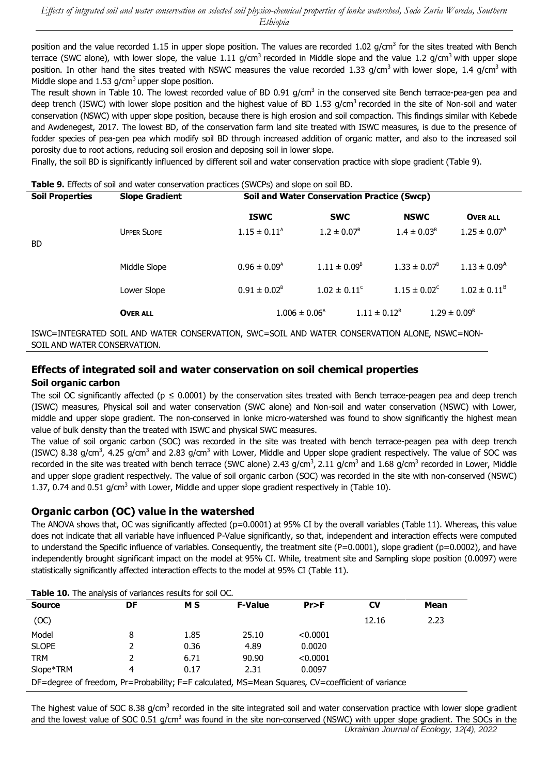position and the value recorded 1.15 in upper slope position. The values are recorded 1.02 g/cm<sup>3</sup> for the sites treated with Bench terrace (SWC alone), with lower slope, the value 1.11 g/cm<sup>3</sup> recorded in Middle slope and the value 1.2 g/cm<sup>3</sup> with upper slope position. In other hand the sites treated with NSWC measures the value recorded 1.33 g/cm<sup>3</sup> with lower slope, 1.4 g/cm<sup>3</sup> with Middle slope and  $1.53$  g/cm<sup>3</sup> upper slope position.

The result shown in Table 10. The lowest recorded value of BD 0.91 g/cm<sup>3</sup> in the conserved site Bench terrace-pea-gen pea and deep trench (ISWC) with lower slope position and the highest value of BD 1.53 g/cm<sup>3</sup> recorded in the site of Non-soil and water conservation (NSWC) with upper slope position, because there is high erosion and soil compaction. This findings similar with Kebede and Awdenegest, 2017. The lowest BD, of the conservation farm land site treated with ISWC measures, is due to the presence of fodder species of pea-gen pea which modify soil BD through increased addition of organic matter, and also to the increased soil porosity due to root actions, reducing soil erosion and deposing soil in lower slope.

Finally, the soil BD is significantly influenced by different soil and water conservation practice with slope gradient (Table 9).

|  | Table 9. Effects of soil and water conservation practices (SWCPs) and slope on soil BD. |  |  |  |
|--|-----------------------------------------------------------------------------------------|--|--|--|
|  |                                                                                         |  |  |  |

| <b>Soil Properties</b> | <b>Slope Gradient</b> | <b>Soil and Water Conservation Practice (Swcp)</b> |                         |                         |                              |  |  |  |  |
|------------------------|-----------------------|----------------------------------------------------|-------------------------|-------------------------|------------------------------|--|--|--|--|
|                        |                       | <b>ISWC</b>                                        | <b>SWC</b>              | <b>NSWC</b>             | <b>OVER ALL</b>              |  |  |  |  |
| <b>BD</b>              | <b>UPPER SLOPE</b>    | $1.15 \pm 0.11^{\circ}$                            | $1.2 \pm 0.07^8$        | $1.4 \pm 0.03^8$        | $1.25 \pm 0.07^{\text{A}}$   |  |  |  |  |
|                        | Middle Slope          | $0.96 \pm 0.09^{\text{A}}$                         | $1.11 \pm 0.09^8$       | $1.33 \pm 0.07^8$       | $1.13 \pm 0.09$ <sup>A</sup> |  |  |  |  |
|                        | Lower Slope           | $0.91 \pm 0.02^8$                                  | $1.02 \pm 0.11^{\circ}$ | $1.15 \pm 0.02^{\circ}$ | $1.02 \pm 0.11^8$            |  |  |  |  |
|                        | <b>OVER ALL</b>       | $1.006 \pm 0.06^{\text{A}}$                        |                         | $1.11 \pm 0.12^8$       | $1.29 \pm 0.09^8$            |  |  |  |  |

ISWC=INTEGRATED SOIL AND WATER CONSERVATION, SWC=SOIL AND WATER CONSERVATION ALONE, NSWC=NON-SOIL AND WATER CONSERVATION.

### **Effects of integrated soil and water conservation on soil chemical properties**

#### **Soil organic carbon**

The soil OC significantly affected ( $p \le 0.0001$ ) by the conservation sites treated with Bench terrace-peagen pea and deep trench (ISWC) measures, Physical soil and water conservation (SWC alone) and Non-soil and water conservation (NSWC) with Lower, middle and upper slope gradient. The non-conserved in lonke micro-watershed was found to show significantly the highest mean value of bulk density than the treated with ISWC and physical SWC measures.

The value of soil organic carbon (SOC) was recorded in the site was treated with bench terrace-peagen pea with deep trench (ISWC) 8.38 g/cm<sup>3</sup>, 4.25 g/cm<sup>3</sup> and 2.83 g/cm<sup>3</sup> with Lower, Middle and Upper slope gradient respectively. The value of SOC was recorded in the site was treated with bench terrace (SWC alone) 2.43  $g/cm^3$ , 2.11  $g/cm^3$  and 1.68  $g/cm^3$  recorded in Lower, Middle and upper slope gradient respectively. The value of soil organic carbon (SOC) was recorded in the site with non-conserved (NSWC) 1.37, 0.74 and 0.51 g/cm<sup>3</sup> with Lower, Middle and upper slope gradient respectively in (Table 10).

### **Organic carbon (OC) value in the watershed**

The ANOVA shows that, OC was significantly affected (p=0.0001) at 95% CI by the overall variables (Table 11). Whereas, this value does not indicate that all variable have influenced P-Value significantly, so that, independent and interaction effects were computed to understand the Specific influence of variables. Consequently, the treatment site (P=0.0001), slope gradient (p=0.0002), and have independently brought significant impact on the model at 95% CI. While, treatment site and Sampling slope position (0.0097) were statistically significantly affected interaction effects to the model at 95% CI (Table 11).

| <b>Table 10.</b> The analysis of variances results for soil OC.                                   |    |      |                |          |       |      |  |  |  |  |
|---------------------------------------------------------------------------------------------------|----|------|----------------|----------|-------|------|--|--|--|--|
| <b>Source</b>                                                                                     | DF | M S  | <b>F-Value</b> | Pr > F   | CV    | Mean |  |  |  |  |
| (OC)                                                                                              |    |      |                |          | 12.16 | 2.23 |  |  |  |  |
| Model                                                                                             | 8  | 1.85 | 25.10          | < 0.0001 |       |      |  |  |  |  |
| <b>SLOPE</b>                                                                                      |    | 0.36 | 4.89           | 0.0020   |       |      |  |  |  |  |
| <b>TRM</b>                                                                                        |    | 6.71 | 90.90          | < 0.0001 |       |      |  |  |  |  |
| Slope*TRM                                                                                         | 4  | 0.17 | 2.31           | 0.0097   |       |      |  |  |  |  |
| DF=degree of freedom, Pr=Probability; F=F calculated, MS=Mean Squares, CV=coefficient of variance |    |      |                |          |       |      |  |  |  |  |

**Table 10.** The analysis of variances results for soil OC.

*Ukrainian Journal of Ecology, 12(4), 2022* The highest value of SOC 8.38 g/cm<sup>3</sup> recorded in the site integrated soil and water conservation practice with lower slope gradient and the lowest value of SOC 0.51 g/cm<sup>3</sup> was found in the site non-conserved (NSWC) with upper slope gradient. The SOCs in the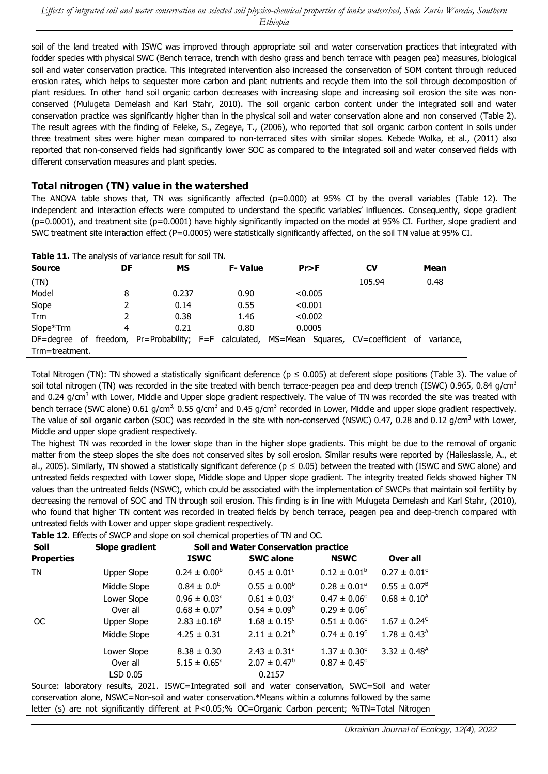soil of the land treated with ISWC was improved through appropriate soil and water conservation practices that integrated with fodder species with physical SWC (Bench terrace, trench with desho grass and bench terrace with peagen pea) measures, biological soil and water conservation practice. This integrated intervention also increased the conservation of SOM content through reduced erosion rates, which helps to sequester more carbon and plant nutrients and recycle them into the soil through decomposition of plant residues. In other hand soil organic carbon decreases with increasing slope and increasing soil erosion the site was nonconserved (Mulugeta Demelash and Karl Stahr, 2010). The soil organic carbon content under the integrated soil and water conservation practice was significantly higher than in the physical soil and water conservation alone and non conserved (Table 2). The result agrees with the finding of Feleke, S., Zegeye, T., (2006), who reported that soil organic carbon content in soils under three treatment sites were higher mean compared to non-terraced sites with similar slopes. Kebede Wolka, et al., (2011) also reported that non-conserved fields had significantly lower SOC as compared to the integrated soil and water conserved fields with different conservation measures and plant species.

### **Total nitrogen (TN) value in the watershed**

The ANOVA table shows that, TN was significantly affected ( $p=0.000$ ) at 95% CI by the overall variables (Table 12). The independent and interaction effects were computed to understand the specific variables' influences. Consequently, slope gradient  $(p=0.0001)$ , and treatment site  $(p=0.0001)$  have highly significantly impacted on the model at 95% CI. Further, slope gradient and SWC treatment site interaction effect (P=0.0005) were statistically significantly affected, on the soil TN value at 95% CI.

| <b>I able 11.</b> The analysis of variance result for soil TN.                                     |    |       |  |                |         |  |        |  |      |  |
|----------------------------------------------------------------------------------------------------|----|-------|--|----------------|---------|--|--------|--|------|--|
| <b>Source</b>                                                                                      | DF | МS    |  | <b>F-Value</b> | Pr > F  |  | CV     |  | Mean |  |
| (TN)                                                                                               |    |       |  |                |         |  | 105.94 |  | 0.48 |  |
| Model                                                                                              | 8  | 0.237 |  | 0.90           | < 0.005 |  |        |  |      |  |
| Slope                                                                                              | 2  | 0.14  |  | 0.55           | < 0.001 |  |        |  |      |  |
| Trm                                                                                                |    | 0.38  |  | 1.46           | < 0.002 |  |        |  |      |  |
| Slope*Trm                                                                                          | 4  | 0.21  |  | 0.80           | 0.0005  |  |        |  |      |  |
| DF=degree of freedom, Pr=Probability; F=F calculated, MS=Mean Squares, CV=coefficient of variance, |    |       |  |                |         |  |        |  |      |  |
| Trm=treatment.                                                                                     |    |       |  |                |         |  |        |  |      |  |
|                                                                                                    |    |       |  |                |         |  |        |  |      |  |

**Table 11.** The analysis of variance result for soil TN.

Total Nitrogen (TN): TN showed a statistically significant deference ( $p \le 0.005$ ) at deferent slope positions (Table 3). The value of soil total nitrogen (TN) was recorded in the site treated with bench terrace-peagen pea and deep trench (ISWC) 0.965, 0.84 g/cm<sup>3</sup> and 0.24 g/cm<sup>3</sup> with Lower, Middle and Upper slope gradient respectively. The value of TN was recorded the site was treated with bench terrace (SWC alone) 0.61 g/cm<sup>3,</sup> 0.55 g/cm<sup>3</sup> and 0.45 g/cm<sup>3</sup> recorded in Lower, Middle and upper slope gradient respectively. The value of soil organic carbon (SOC) was recorded in the site with non-conserved (NSWC) 0.47, 0.28 and 0.12  $q/cm<sup>3</sup>$  with Lower, Middle and upper slope gradient respectively.

The highest TN was recorded in the lower slope than in the higher slope gradients. This might be due to the removal of organic matter from the steep slopes the site does not conserved sites by soil erosion. Similar results were reported by (Haileslassie, A., et al., 2005). Similarly, TN showed a statistically significant deference ( $p \le 0.05$ ) between the treated with (ISWC and SWC alone) and untreated fields respected with Lower slope, Middle slope and Upper slope gradient. The integrity treated fields showed higher TN values than the untreated fields (NSWC), which could be associated with the implementation of SWCPs that maintain soil fertility by decreasing the removal of SOC and TN through soil erosion. This finding is in line with Mulugeta Demelash and Karl Stahr, (2010), who found that higher TN content was recorded in treated fields by bench terrace, peagen pea and deep-trench compared with untreated fields with Lower and upper slope gradient respectively.

|            | Table 12. Effects of SWCP and slope on soil chemical properties of TN and OC. |                                             |                              |                         |                              |  |  |  |  |  |
|------------|-------------------------------------------------------------------------------|---------------------------------------------|------------------------------|-------------------------|------------------------------|--|--|--|--|--|
| Soil       | Slope gradient                                                                | <b>Soil and Water Conservation practice</b> |                              |                         |                              |  |  |  |  |  |
| Properties |                                                                               | <b>ISWC</b>                                 | <b>SWC alone</b>             | <b>NSWC</b>             | Over all                     |  |  |  |  |  |
| ΤN         | Upper Slope                                                                   | $0.24 \pm 0.00^b$                           | $0.45 \pm 0.01^{\circ}$      | $0.12 \pm 0.01^b$       | $0.27 \pm 0.01^c$            |  |  |  |  |  |
|            | Middle Slope                                                                  | $0.84 \pm 0.0^b$                            | $0.55 \pm 0.00^b$            | $0.28 \pm 0.01^a$       | $0.55 \pm 0.07^8$            |  |  |  |  |  |
|            | Lower Slope                                                                   | $0.96 \pm 0.03$ <sup>a</sup>                | $0.61 \pm 0.03$ <sup>a</sup> | $0.47 \pm 0.06^{\circ}$ | $0.68 \pm 0.10^{\text{A}}$   |  |  |  |  |  |
|            | Over all                                                                      | $0.68 \pm 0.07$ <sup>a</sup>                | $0.54 \pm 0.09^b$            | $0.29 \pm 0.06^{\circ}$ |                              |  |  |  |  |  |
| <b>OC</b>  | Upper Slope                                                                   | $2.83 \pm 0.16^b$                           | $1.68 \pm 0.15^{\circ}$      | $0.51 \pm 0.06^{\circ}$ | $1.67 \pm 0.24^{\circ}$      |  |  |  |  |  |
|            | Middle Slope                                                                  | $4.25 \pm 0.31$                             | $2.11 \pm 0.21^b$            | $0.74 \pm 0.19^c$       | $1.78 \pm 0.43^{\text{A}}$   |  |  |  |  |  |
|            | Lower Slope                                                                   | $8.38 \pm 0.30$                             | $2.43 \pm 0.31$ <sup>a</sup> | $1.37 \pm 0.30^{\circ}$ | $3.32 \pm 0.48$ <sup>A</sup> |  |  |  |  |  |
|            | Over all                                                                      | $5.15 \pm 0.65^{\circ}$                     | $2.07 \pm 0.47^b$            | $0.87 \pm 0.45^{\circ}$ |                              |  |  |  |  |  |
|            | LSD 0.05                                                                      |                                             | 0.2157                       |                         |                              |  |  |  |  |  |
|            |                                                                               |                                             |                              |                         |                              |  |  |  |  |  |

Source: laboratory results, 2021. ISWC=Integrated soil and water conservation, SWC=Soil and water conservation alone, NSWC=Non-soil and water conservation**.**\*Means within a columns followed by the same letter (s) are not significantly different at P<0.05;% OC=Organic Carbon percent; %TN=Total Nitrogen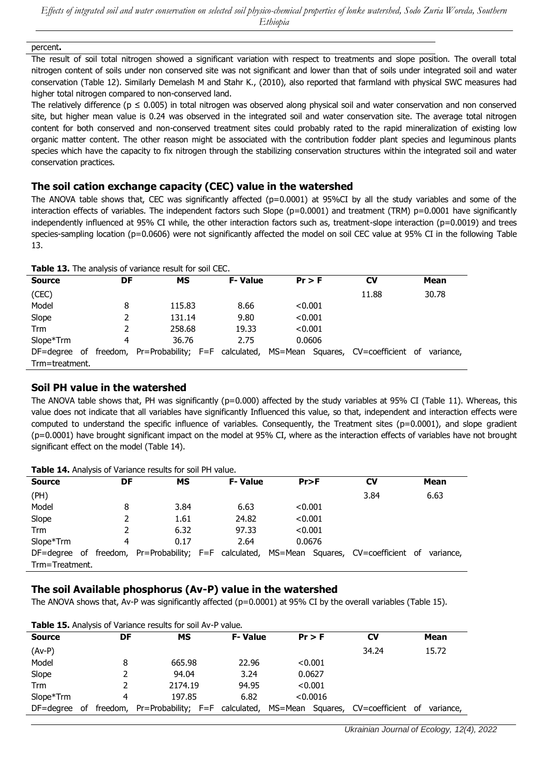#### percent**.**

The result of soil total nitrogen showed a significant variation with respect to treatments and slope position. The overall total nitrogen content of soils under non conserved site was not significant and lower than that of soils under integrated soil and water conservation (Table 12). Similarly Demelash M and Stahr K., (2010), also reported that farmland with physical SWC measures had higher total nitrogen compared to non-conserved land.

The relatively difference ( $p \le 0.005$ ) in total nitrogen was observed along physical soil and water conservation and non conserved site, but higher mean value is 0.24 was observed in the integrated soil and water conservation site. The average total nitrogen content for both conserved and non-conserved treatment sites could probably rated to the rapid mineralization of existing low organic matter content. The other reason might be associated with the contribution fodder plant species and leguminous plants species which have the capacity to fix nitrogen through the stabilizing conservation structures within the integrated soil and water conservation practices.

### **The soil cation exchange capacity (CEC) value in the watershed**

The ANOVA table shows that, CEC was significantly affected  $(p=0.0001)$  at 95%CI by all the study variables and some of the interaction effects of variables. The independent factors such Slope (p=0.0001) and treatment (TRM) p=0.0001 have significantly independently influenced at 95% CI while, the other interaction factors such as, treatment-slope interaction (p=0.0019) and trees species-sampling location (p=0.0606) were not significantly affected the model on soil CEC value at 95% CI in the following Table 13.

| <b>Table 13.</b> The analysis of variance result for soil CEC. |  |    |                                                                                          |  |                |         |          |       |  |             |
|----------------------------------------------------------------|--|----|------------------------------------------------------------------------------------------|--|----------------|---------|----------|-------|--|-------------|
| <b>Source</b>                                                  |  | DF | МS                                                                                       |  | <b>F-Value</b> |         | $Pr$ > F | CV    |  | <b>Mean</b> |
| (CEC)                                                          |  |    |                                                                                          |  |                |         |          | 11.88 |  | 30.78       |
| Model                                                          |  | 8  | 115.83                                                                                   |  | 8.66           |         | < 0.001  |       |  |             |
| Slope                                                          |  | 2  | 131.14                                                                                   |  | 9.80           | < 0.001 |          |       |  |             |
| Trm                                                            |  |    | 258.68                                                                                   |  | 19.33          |         | < 0.001  |       |  |             |
| Slope*Trm                                                      |  | 4  | 36.76                                                                                    |  | 2.75           |         | 0.0606   |       |  |             |
|                                                                |  |    | DF=degree of freedom, Pr=Probability; F=F calculated, MS=Mean Squares, CV=coefficient of |  |                |         |          |       |  | variance,   |
| Trm=treatment.                                                 |  |    |                                                                                          |  |                |         |          |       |  |             |

#### **Soil PH value in the watershed**

The ANOVA table shows that, PH was significantly ( $p=0.000$ ) affected by the study variables at 95% CI (Table 11). Whereas, this value does not indicate that all variables have significantly Influenced this value, so that, independent and interaction effects were computed to understand the specific influence of variables. Consequently, the Treatment sites (p=0.0001), and slope gradient (p=0.0001) have brought significant impact on the model at 95% CI, where as the interaction effects of variables have not brought significant effect on the model (Table 14).

| $\frac{1}{2}$ and $\frac{1}{2}$ in the state of the state of the state of the state of the state of the state of the state of the state of the state of the state of the state of the state of the state of the state of the state of |  |    |                                                                                                    |  |                |         |         |           |  |      |
|---------------------------------------------------------------------------------------------------------------------------------------------------------------------------------------------------------------------------------------|--|----|----------------------------------------------------------------------------------------------------|--|----------------|---------|---------|-----------|--|------|
| <b>Source</b>                                                                                                                                                                                                                         |  | DF | МS                                                                                                 |  | <b>F-Value</b> | Pr > F  |         | <b>CV</b> |  | Mean |
| (PH)                                                                                                                                                                                                                                  |  |    |                                                                                                    |  |                |         |         | 3.84      |  | 6.63 |
| Model                                                                                                                                                                                                                                 |  | 8  | 3.84                                                                                               |  | 6.63           |         | < 0.001 |           |  |      |
| Slope                                                                                                                                                                                                                                 |  |    | 1.61                                                                                               |  | 24.82          | < 0.001 |         |           |  |      |
| Trm                                                                                                                                                                                                                                   |  |    | 6.32                                                                                               |  | 97.33          |         | < 0.001 |           |  |      |
| Slope*Trm                                                                                                                                                                                                                             |  | 4  | 0.17                                                                                               |  | 2.64           |         | 0.0676  |           |  |      |
|                                                                                                                                                                                                                                       |  |    | DF=degree of freedom, Pr=Probability; F=F calculated, MS=Mean Squares, CV=coefficient of variance, |  |                |         |         |           |  |      |
| Trm=Treatment.                                                                                                                                                                                                                        |  |    |                                                                                                    |  |                |         |         |           |  |      |

#### **Table 14.** Analysis of Variance results for soil PH value.

### **The soil Available phosphorus (Av-P) value in the watershed**

The ANOVA shows that, Av-P was significantly affected ( $p=0.0001$ ) at 95% CI by the overall variables (Table 15).

| <b>Table 15.</b> Analysis of Variance results for soil Av-P value. |    |    |                                          |  |                |  |          |                                    |  |           |
|--------------------------------------------------------------------|----|----|------------------------------------------|--|----------------|--|----------|------------------------------------|--|-----------|
| <b>Source</b>                                                      |    | DF | МS                                       |  | <b>F-Value</b> |  | $Pr$ > F | CV                                 |  | Mean      |
| $(Av-P)$                                                           |    |    |                                          |  |                |  |          | 34.24                              |  | 15.72     |
| Model                                                              |    | 8  | 665.98                                   |  | 22.96          |  | < 0.001  |                                    |  |           |
| Slope                                                              |    |    | 94.04                                    |  | 3.24           |  | 0.0627   |                                    |  |           |
| Trm                                                                |    |    | 2174.19                                  |  | 94.95          |  | < 0.001  |                                    |  |           |
| Slope*Trm                                                          |    | 4  | 197.85                                   |  | 6.82           |  | < 0.0016 |                                    |  |           |
| DF=degree                                                          | of |    | freedom, Pr=Probability; F=F calculated, |  |                |  |          | MS=Mean Squares, CV=coefficient of |  | variance, |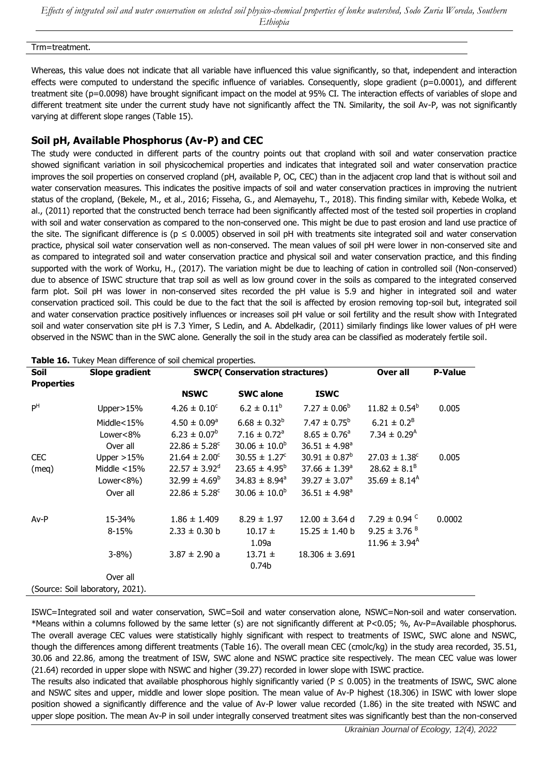*Effects of intgrated soil and water conservation on selected soil physico-chemical properties of lonke watershed, Sodo Zuria Woreda, Southern Ethiopia*

Trm=treatment.

Whereas, this value does not indicate that all variable have influenced this value significantly, so that, independent and interaction effects were computed to understand the specific influence of variables. Consequently, slope gradient  $(p=0.0001)$ , and different treatment site (p=0.0098) have brought significant impact on the model at 95% CI. The interaction effects of variables of slope and different treatment site under the current study have not significantly affect the TN. Similarity, the soil Av-P, was not significantly varying at different slope ranges (Table 15).

### **Soil pH, Available Phosphorus (Av-P) and CEC**

The study were conducted in different parts of the country points out that cropland with soil and water conservation practice showed significant variation in soil physicochemical properties and indicates that integrated soil and water conservation practice improves the soil properties on conserved cropland (pH, available P, OC, CEC) than in the adjacent crop land that is without soil and water conservation measures. This indicates the positive impacts of soil and water conservation practices in improving the nutrient status of the cropland, (Bekele, M., et al., 2016; Fisseha, G., and Alemayehu, T., 2018). This finding similar with, Kebede Wolka, et al., (2011) reported that the constructed bench terrace had been significantly affected most of the tested soil properties in cropland with soil and water conservation as compared to the non-conserved one. This might be due to past erosion and land use practice of the site. The significant difference is ( $p \le 0.0005$ ) observed in soil pH with treatments site integrated soil and water conservation practice, physical soil water conservation well as non-conserved. The mean values of soil pH were lower in non-conserved site and as compared to integrated soil and water conservation practice and physical soil and water conservation practice, and this finding supported with the work of Worku, H., (2017). The variation might be due to leaching of cation in controlled soil (Non-conserved) due to absence of ISWC structure that trap soil as well as low ground cover in the soils as compared to the integrated conserved farm plot. Soil pH was lower in non-conserved sites recorded the pH value is 5.9 and higher in integrated soil and water conservation practiced soil. This could be due to the fact that the soil is affected by erosion removing top-soil but, integrated soil and water conservation practice positively influences or increases soil pH value or soil fertility and the result show with Integrated soil and water conservation site pH is 7.3 Yimer, S Ledin, and A. Abdelkadir, (2011) similarly findings like lower values of pH were observed in the NSWC than in the SWC alone. Generally the soil in the study area can be classified as moderately fertile soil.

| <b>P-Value</b> |
|----------------|
|                |
|                |
| 0.005          |
|                |
|                |
|                |
| 0.005          |
|                |
|                |
|                |
| 0.0002         |
|                |
|                |
|                |
|                |
|                |
|                |
|                |

**Table 16.** Tukey Mean difference of soil chemical properties.

ISWC=Integrated soil and water conservation, SWC=Soil and water conservation alone, NSWC=Non-soil and water conservation. \*Means within a columns followed by the same letter (s) are not significantly different at P<0.05; %, Av-P=Available phosphorus. The overall average CEC values were statistically highly significant with respect to treatments of ISWC, SWC alone and NSWC, though the differences among different treatments (Table 16). The overall mean CEC (cmolc/kg) in the study area recorded, 35.51, 30.06 and 22.86, among the treatment of ISW, SWC alone and NSWC practice site respectively. The mean CEC value was lower (21.64) recorded in upper slope with NSWC and higher (39.27) recorded in lower slope with ISWC practice.

The results also indicated that available phosphorous highly significantly varied (P  $\leq$  0.005) in the treatments of ISWC, SWC alone and NSWC sites and upper, middle and lower slope position. The mean value of Av-P highest (18.306) in ISWC with lower slope position showed a significantly difference and the value of Av-P lower value recorded (1.86) in the site treated with NSWC and upper slope position. The mean Av-P in soil under integrally conserved treatment sites was significantly best than the non-conserved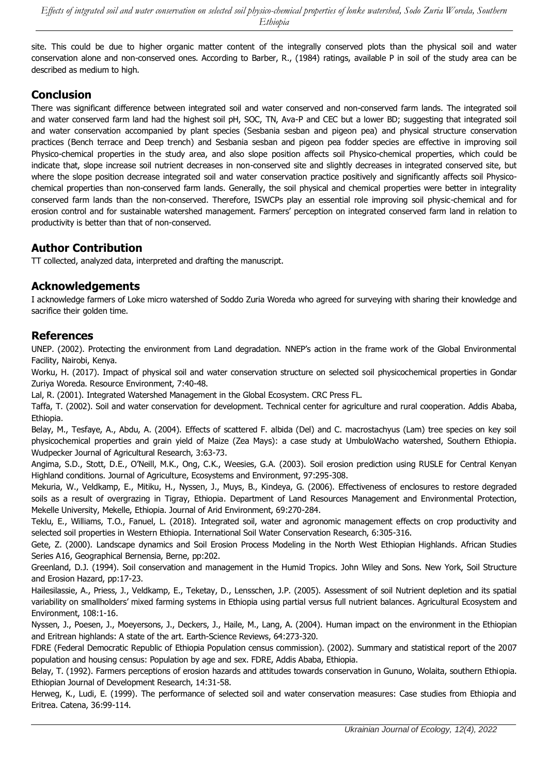site. This could be due to higher organic matter content of the integrally conserved plots than the physical soil and water conservation alone and non-conserved ones. According to Barber, R., (1984) ratings, available P in soil of the study area can be described as medium to high.

# **Conclusion**

There was significant difference between integrated soil and water conserved and non-conserved farm lands. The integrated soil and water conserved farm land had the highest soil pH, SOC, TN, Ava-P and CEC but a lower BD; suggesting that integrated soil and water conservation accompanied by plant species (Sesbania sesban and pigeon pea) and physical structure conservation practices (Bench terrace and Deep trench) and Sesbania sesban and pigeon pea fodder species are effective in improving soil Physico-chemical properties in the study area, and also slope position affects soil Physico-chemical properties, which could be indicate that, slope increase soil nutrient decreases in non-conserved site and slightly decreases in integrated conserved site, but where the slope position decrease integrated soil and water conservation practice positively and significantly affects soil Physicochemical properties than non-conserved farm lands. Generally, the soil physical and chemical properties were better in integrality conserved farm lands than the non-conserved. Therefore, ISWCPs play an essential role improving soil physic-chemical and for erosion control and for sustainable watershed management. Farmers' perception on integrated conserved farm land in relation to productivity is better than that of non-conserved.

# **Author Contribution**

TT collected, analyzed data, interpreted and drafting the manuscript.

# **Acknowledgements**

I acknowledge farmers of Loke micro watershed of Soddo Zuria Woreda who agreed for surveying with sharing their knowledge and sacrifice their golden time.

### **References**

UNEP. (2002). Protecting the environment from Land degradation. NNEP's action in the frame work of the Global Environmental Facility, Nairobi, Kenya.

Worku, H. (2017). Impact of physical soil and water conservation structure on selected soil physicochemical properties in Gondar Zuriya Woreda. Resource Environment, 7:40-48.

Lal, R. (2001). [Integrated Watershed Management in the Global Ecosystem.](https://api.taylorfrancis.com/content/books/mono/download?identifierName=doi&identifierValue=10.1201/9781420074420&type=googlepdf) CRC Press FL.

Taffa, T. (2002). Soil and water conservation for development. Technical center for agriculture and rural cooperation. Addis Ababa, Ethiopia.

Belay, M., Tesfaye, A., Abdu, A. (2004). [Effects of scattered F. albida \(Del\) and C. macrostachyus \(Lam\) tree species on key soil](https://www.researchgate.net/profile/Belay-Gebru/publication/324975515_Manjuretal/links/5aee6a970f7e9b01d3e189a2/Manjuretal.pdf)  [physicochemical properties and grain yield of Maize \(Zea Mays\): a case study at UmbuloWacho watershed, Southern Ethiopia.](https://www.researchgate.net/profile/Belay-Gebru/publication/324975515_Manjuretal/links/5aee6a970f7e9b01d3e189a2/Manjuretal.pdf) Wudpecker Journal of Agricultural Research, 3:63-73.

Angima, S.D., Stott, D.E., O'Neill, M.K., Ong, C.K., Weesies, G.A. (2003). [Soil erosion prediction using RUSLE for Central Kenyan](https://www.sciencedirect.com/science/article/pii/S0167880903000112)  [Highland conditions.](https://www.sciencedirect.com/science/article/pii/S0167880903000112) Journal of Agriculture, Ecosystems and Environment, 97:295-308.

Mekuria, W., Veldkamp, E., Mitiku, H., Nyssen, J., Muys, B., Kindeya, G. (2006). [Effectiveness of enclosures to restore degraded](https://www.sciencedirect.com/science/article/pii/S0140196306003491)  [soils as a result of overgrazing in Tigray, Ethiopia.](https://www.sciencedirect.com/science/article/pii/S0140196306003491) Department of Land Resources Management and Environmental Protection, Mekelle University, Mekelle, Ethiopia. Journal of Arid Environment, 69:270-284.

Teklu, E., Williams, T.O., Fanuel, L. (2018). [Integrated soil, water and agronomic management effects on crop productivity and](https://www.sciencedirect.com/science/article/pii/S2095633917302289)  [selected soil properties in Western Ethiopia.](https://www.sciencedirect.com/science/article/pii/S2095633917302289) International Soil Water Conservation Research, 6:305-316.

Gete, Z. (2000). [Landscape dynamics and Soil Erosion Process Modeling in the North West Ethiopian Highlands.](https://www.cabdirect.org/cabdirect/abstract/20016786872) African Studies Series A16, Geographical Bernensia, Berne, pp:202.

Greenland, D.J. (1994). [Soil conservation and management in the Humid Tropics.](https://journals.lww.com/soilsci/Citation/1978/07000/Soil_Conservation_and_Management_in_the_Humid.19.aspx) John Wiley and Sons. New York, Soil Structure and Erosion Hazard, pp:17-23.

Hailesilassie, A., Priess, J., Veldkamp, E., Teketay, D., Lensschen, J.P. (2005). [Assessment of soil Nutrient depletion and its spatial](https://www.sciencedirect.com/science/article/pii/S0167880905000101)  [variability on smallholders' mixed farming systems in Ethiopia using partial versus full nutrient balances](https://www.sciencedirect.com/science/article/pii/S0167880905000101). Agricultural Ecosystem and Environment, 108:1-16.

Nyssen, J., Poesen, J., Moeyersons, J., Deckers, J., Haile, M., Lang, A. (2004). [Human impact on the environment in the Ethiopian](https://www.sciencedirect.com/science/article/pii/S0012825203000783)  and [Eritrean highlands: A state of the art.](https://www.sciencedirect.com/science/article/pii/S0012825203000783) Earth-Science Reviews, 64:273-320.

FDRE (Federal Democratic Republic of Ethiopia Population census commission). (2002). Summary and statistical report of the 2007 population and housing census: Population by age and sex. FDRE, Addis Ababa, Ethiopia.

Belay, T. (1992). Farmers perceptions of erosion hazards and attitudes towards conservation in Gununo, Wolaita, southern Ethiopia. Ethiopian Journal of Development Research, 14:31-58.

Herweg, K., Ludi, E. (1999). [The performance of selected soil and water conservation measures: Case studies from Ethiopia and](https://www.sciencedirect.com/science/article/pii/S0341816299000041)  [Eritrea.](https://www.sciencedirect.com/science/article/pii/S0341816299000041) Catena, 36:99-114.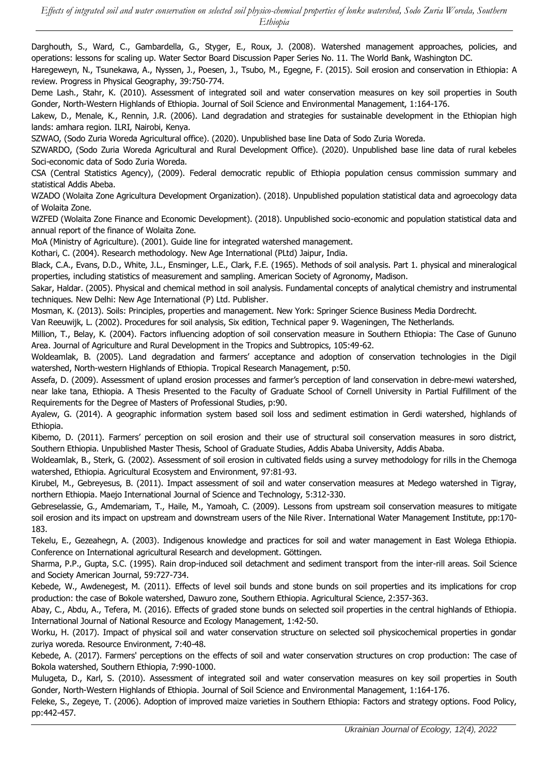Darghouth, S., Ward, C., Gambardella, G., Styger, E., Roux, J. (2008). [Watershed management approaches, policies, and](https://openknowledge.worldbank.org/handle/10986/17240)  [operations: lessons for scaling up.](https://openknowledge.worldbank.org/handle/10986/17240) Water Sector Board Discussion Paper Series No. 11. The World Bank, Washington DC.

Haregeweyn, N., Tsunekawa, A., Nyssen, J., Poesen, J., Tsubo, M., Egegne, F. (2015). [Soil erosion and conservation in Ethiopia:](https://journals.sagepub.com/doi/abs/10.1177/0309133315598725) A [review.](https://journals.sagepub.com/doi/abs/10.1177/0309133315598725) Progress in Physical Geography, 39:750-774.

Deme Lash., Stahr, K. (2010). [Assessment of integrated soil and water conservation measures on key soil properties in South](https://academicjournals.org/journal/JSSEM/article-abstract/74AD93810140)  [Gonder, North-Western Highlands of Ethiopia.](https://academicjournals.org/journal/JSSEM/article-abstract/74AD93810140) Journal of Soil Science and Environmental Management, 1:164-176.

Lakew, D., Menale, K., Rennin, J.R. (2006). [Land degradation and strategies for sustainable development in the Ethiopian high](https://books.google.com/books?hl=en&lr=&id=G2AZi7JctB0C&oi=fnd&pg=PR5&dq=Land+degradation+and+strategies+for+sustainable+development+in+the+Ethiopian+high+lands:+amhara+region&ots=Y3N3b5PTRM&sig=AUUufdWM_JXfmRMFKyMENy-cUHA)  [lands: amhara region.](https://books.google.com/books?hl=en&lr=&id=G2AZi7JctB0C&oi=fnd&pg=PR5&dq=Land+degradation+and+strategies+for+sustainable+development+in+the+Ethiopian+high+lands:+amhara+region&ots=Y3N3b5PTRM&sig=AUUufdWM_JXfmRMFKyMENy-cUHA) ILRI, Nairobi, Kenya.

SZWAO, (Sodo Zuria Woreda Agricultural office). (2020). Unpublished base line Data of Sodo Zuria Woreda.

SZWARDO, (Sodo Zuria Woreda Agricultural and Rural Development Office). (2020). Unpublished base line data of rural kebeles Soci-economic data of Sodo Zuria Woreda.

CSA (Central Statistics Agency), (2009). Federal democratic republic of Ethiopia population census commission summary and statistical Addis Abeba.

WZADO (Wolaita Zone Agricultura Development Organization). (2018). Unpublished population statistical data and agroecology data of Wolaita Zone.

WZFED (Wolaita Zone Finance and Economic Development). (2018). Unpublished socio-economic and population statistical data and annual report of the finance of Wolaita Zone.

MoA (Ministry of Agriculture). (2001). Guide line for integrated watershed management.

Kothari, C. (2004). Research methodology. New Age International (PLtd) Jaipur, India.

Black, C.A., Evans, D.D., White, J.L., Ensminger, L.E., Clark, F.E. (1965). Methods of soil analysis. Part 1. physical and mineralogical properties, including statistics of measurement and sampling. American Society of Agronomy, Madison.

Sakar, Haldar. (2005). [Physical and chemical method in soil analysis.](https://books.google.com/books?hl=en&lr=&id=rmgaRmm4wDkC&oi=fnd&pg=PA4&dq=Physical+and+chemical+method+in+soil+analysis:+fundamental+concepts+of+analytical+chemistry+and+instrumental+techniques&ots=DlXJVBoYlW&sig=BLkFKJzfs2QU_252UsIdEM0AOsI) Fundamental concepts of analytical chemistry and instrumental techniques. New Delhi: New Age International (P) Ltd. Publisher.

Mosman, K. (2013). [Soils: Principles, properties and management.](https://books.google.com/books?hl=en&lr=&id=pZ0rVya6CW4C&oi=fnd&pg=PR7&dq=Soils:+Principles,+properties+and+management&ots=8bSIiIG4eU&sig=5TZAIqX4eNyIGlRMwsxEOki65HM) New York: Springer Science Business Media Dordrecht.

Van Reeuwijk, L. (2002). Procedures for soil analysis, Six edition, Technical paper 9. Wageningen, The Netherlands.

Million, T., Belay, K. (2004). [Factors influencing adoption of soil conservation measure in Southern Ethiopia: The Case of Gununo](http://www.jarts.info/index.php/jarts/article/view/50)  [Area.](http://www.jarts.info/index.php/jarts/article/view/50) Journal of Agriculture and Rural Development in the Tropics and Subtropics, 105:49-62.

Woldeamlak, B. (2005). Land degradation and farmers' acceptance and adoption of conservation technologies in the Digil watershed, North-western Highlands of Ethiopia. Tropical Research Management, p:50.

Assefa, D. (2009). [Assessment of upland erosion processes and farmer's perception of land co](http://soilandwater.bee.cornell.edu/research/international/docs/Bound%20Thesis%20Assefa%20thesis_formatted.pdf)nservation in debre-mewi watershed, [near lake tana, Ethiopia.](http://soilandwater.bee.cornell.edu/research/international/docs/Bound%20Thesis%20Assefa%20thesis_formatted.pdf) A Thesis Presented to the Faculty of Graduate School of Cornell University in Partial Fulfillment of the Requirements for the Degree of Masters of Professional Studies, p:90.

Ayalew, G. (2014). A geographic information system based soil loss and sediment estimation in Gerdi watershed, highlands of Ethiopia.

Kibemo, D. (2011). [Farmers' perception on soil erosion and their use of structural soil conservation measures in soro district,](https://scholar.google.com/scholar?hl=en&as_sdt=0%2C5&q=Farmers%E2%80%99+perception+on+soil+erosion+and+their+use+of+structural+soil+conservation+measures+in+soro+district%2C+Southern+Ethiopia&btnG=)  [Southern Ethiopia.](https://scholar.google.com/scholar?hl=en&as_sdt=0%2C5&q=Farmers%E2%80%99+perception+on+soil+erosion+and+their+use+of+structural+soil+conservation+measures+in+soro+district%2C+Southern+Ethiopia&btnG=) Unpublished Master Thesis, School of Graduate Studies, Addis Ababa University, Addis Ababa.

Woldeamlak, B., Sterk, G. (2002). [Assessment of soil erosion in cultivated fields using a survey methodology for rills in the Chemoga](https://www.sciencedirect.com/science/article/pii/S0167880903001270)  [watershed, Ethiopia.](https://www.sciencedirect.com/science/article/pii/S0167880903001270) Agricultural Ecosystem and Environment, 97:81-93.

Kirubel, M., Gebreyesus, B. (2011). [Impact assessment of soil and water conservation measures at Medego watershed in Tigray,](https://search.proquest.com/openview/535e31a55e19b48422d752c5b5b2e8f9/1?pq-origsite=gscholar&cbl=796385)  [northern Ethiopia.](https://search.proquest.com/openview/535e31a55e19b48422d752c5b5b2e8f9/1?pq-origsite=gscholar&cbl=796385) Maejo International Journal of Science and Technology, 5:312-330.

Gebreselassie, G., Amdemariam, T., Haile, M., Yamoah, C. (2009). [Lessons from upstream soil conservation measures to mitigate](https://books.google.com/books?hl=en&lr=&id=RxtOBQAAQBAJ&oi=fnd&pg=PA170&dq=Lessons+from+upstream+soil+conservation+measures+to+mitigate+soil+erosion+and+its+impact+on+upstream+and+downstream+users+of+the+Nile+River&ots=wqZNqNAjJ_&sig=8p72Ah5KDbX0dXT8iBWR-qXbk_E)  [soil erosion and its impact on upstream and downstream users of the Nile River.](https://books.google.com/books?hl=en&lr=&id=RxtOBQAAQBAJ&oi=fnd&pg=PA170&dq=Lessons+from+upstream+soil+conservation+measures+to+mitigate+soil+erosion+and+its+impact+on+upstream+and+downstream+users+of+the+Nile+River&ots=wqZNqNAjJ_&sig=8p72Ah5KDbX0dXT8iBWR-qXbk_E) International Water Management Institute, pp:170- 183.

Tekelu, E., Gezeahegn, A. (2003). Indigenous knowledge and practices for soil and water management in East Wolega Ethiopia. Conference on International agricultural Research and development. Göttingen.

Sharma, P.P., Gupta, S.C. (1995). [Rain drop-induced soil detachment and sediment transport from the inter-rill areas.](https://acsess.onlinelibrary.wiley.com/doi/abs/10.2136/sssaj1995.03615995005900030014x) Soil Science and Society American Journal, 59:727-734.

Kebede, W., Awdenegest, M. (2011). Effects of [level soil bunds and stone bunds on soil properties and its implications for crop](https://www.scirp.org/html/6776.html)  [production: the case of Bokole watershed, Dawuro zone, Southern Ethiopia.](https://www.scirp.org/html/6776.html) Agricultural Science, 2:357-363.

Abay, C., Abdu, A., Tefera, M. (2016). [Effects of graded stone bunds on selected soil properties in the central highlands of Ethiopia](http://article.ijonrem.org/pdf/10.11648.j.ijnrem.20160102.15.pdf). International Journal of National Resource and Ecology Management, 1:42-50.

Worku, H. (2017). Impact of physical soil and water conservation structure on selected soil physicochemical properties in gondar zuriya woreda. Resource Environment, 7:40-48.

Kebede, A. (2017). Farmers' perceptions on the effects of soil and water conservation structures on crop production: The case of Bokola watershed, Southern Ethiopia, 7:990-1000.

Mulugeta, D., Karl, S. (2010). [Assessment of integrated soil and water conservation measures on key soil properties in South](https://academicjournals.org/journal/JSSEM/article-abstract/74AD93810140)  [Gonder, North-Western Highlands of Ethiopia.](https://academicjournals.org/journal/JSSEM/article-abstract/74AD93810140) Journal of Soil Science and Environmental Management, 1:164-176.

Feleke, S., Zegeye, T. (2006). [Adoption of improved maize varieties in Southern Ethiopia: Factors and strategy options.](https://www.sciencedirect.com/science/article/pii/S0306919205001107) Food Policy, pp:442-457.